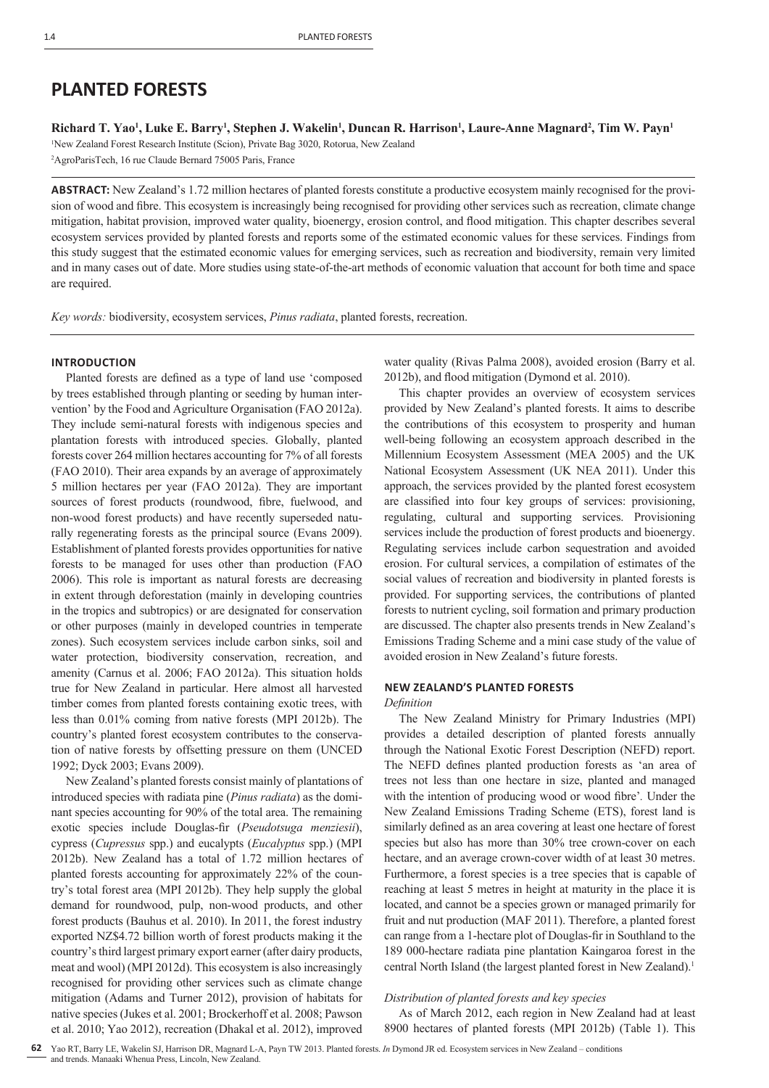# **PLANTED FORESTS**

**Richard T. Yao1 , Luke E. Barry1 , Stephen J. Wakelin1 , Duncan R. Harrison1 , Laure-Anne Magnard2 , Tim W. Payn1** 1 New Zealand Forest Research Institute (Scion), Private Bag 3020, Rotorua, New Zealand

2 AgroParisTech, 16 rue Claude Bernard 75005 Paris, France

**ABSTRACT:** New Zealand's 1.72 million hectares of planted forests constitute a productive ecosystem mainly recognised for the provision of wood and fibre. This ecosystem is increasingly being recognised for providing other services such as recreation, climate change mitigation, habitat provision, improved water quality, bioenergy, erosion control, and flood mitigation. This chapter describes several ecosystem services provided by planted forests and reports some of the estimated economic values for these services. Findings from this study suggest that the estimated economic values for emerging services, such as recreation and biodiversity, remain very limited and in many cases out of date. More studies using state-of-the-art methods of economic valuation that account for both time and space are required.

*Key words:* biodiversity, ecosystem services, *Pinus radiata*, planted forests, recreation.

# **INTRODUCTION**

Planted forests are defined as a type of land use 'composed by trees established through planting or seeding by human intervention' by the Food and Agriculture Organisation (FAO 2012a). They include semi-natural forests with indigenous species and plantation forests with introduced species. Globally, planted forests cover 264 million hectares accounting for 7% of all forests (FAO 2010). Their area expands by an average of approximately 5 million hectares per year (FAO 2012a). They are important sources of forest products (roundwood, fibre, fuelwood, and non-wood forest products) and have recently superseded naturally regenerating forests as the principal source (Evans 2009). Establishment of planted forests provides opportunities for native forests to be managed for uses other than production (FAO 2006). This role is important as natural forests are decreasing in extent through deforestation (mainly in developing countries in the tropics and subtropics) or are designated for conservation or other purposes (mainly in developed countries in temperate zones). Such ecosystem services include carbon sinks, soil and water protection, biodiversity conservation, recreation, and amenity (Carnus et al. 2006; FAO 2012a). This situation holds true for New Zealand in particular. Here almost all harvested timber comes from planted forests containing exotic trees, with less than 0.01% coming from native forests (MPI 2012b). The country's planted forest ecosystem contributes to the conservation of native forests by offsetting pressure on them (UNCED 1992; Dyck 2003; Evans 2009).

New Zealand's planted forests consist mainly of plantations of introduced species with radiata pine (*Pinus radiata*) as the dominant species accounting for 90% of the total area. The remaining exotic species include Douglas-fir (*Pseudotsuga menziesii*), cypress (*Cupressus* spp.) and eucalypts (*Eucalyptus* spp.) (MPI 2012b). New Zealand has a total of 1.72 million hectares of planted forests accounting for approximately 22% of the country's total forest area (MPI 2012b). They help supply the global demand for roundwood, pulp, non-wood products, and other forest products (Bauhus et al. 2010). In 2011, the forest industry exported NZ\$4.72 billion worth of forest products making it the country's third largest primary export earner (after dairy products, meat and wool) (MPI 2012d). This ecosystem is also increasingly recognised for providing other services such as climate change mitigation (Adams and Turner 2012), provision of habitats for native species (Jukes et al. 2001; Brockerhoff et al. 2008; Pawson et al. 2010; Yao 2012), recreation (Dhakal et al. 2012), improved water quality (Rivas Palma 2008), avoided erosion (Barry et al. 2012b), and flood mitigation (Dymond et al. 2010).

This chapter provides an overview of ecosystem services provided by New Zealand's planted forests. It aims to describe the contributions of this ecosystem to prosperity and human well-being following an ecosystem approach described in the Millennium Ecosystem Assessment (MEA 2005) and the UK National Ecosystem Assessment (UK NEA 2011). Under this approach, the services provided by the planted forest ecosystem are classified into four key groups of services: provisioning, regulating, cultural and supporting services. Provisioning services include the production of forest products and bioenergy. Regulating services include carbon sequestration and avoided erosion. For cultural services, a compilation of estimates of the social values of recreation and biodiversity in planted forests is provided. For supporting services, the contributions of planted forests to nutrient cycling, soil formation and primary production are discussed. The chapter also presents trends in New Zealand's Emissions Trading Scheme and a mini case study of the value of avoided erosion in New Zealand's future forests.

## **NEW ZEALAND'S PLANTED FORESTS**

*Defi nition*

The New Zealand Ministry for Primary Industries (MPI) provides a detailed description of planted forests annually through the National Exotic Forest Description (NEFD) report. The NEFD defines planted production forests as 'an area of trees not less than one hectare in size, planted and managed with the intention of producing wood or wood fibre'. Under the New Zealand Emissions Trading Scheme (ETS), forest land is similarly defined as an area covering at least one hectare of forest species but also has more than 30% tree crown-cover on each hectare, and an average crown-cover width of at least 30 metres. Furthermore, a forest species is a tree species that is capable of reaching at least 5 metres in height at maturity in the place it is located, and cannot be a species grown or managed primarily for fruit and nut production (MAF 2011). Therefore, a planted forest can range from a 1-hectare plot of Douglas-fir in Southland to the 189 000-hectare radiata pine plantation Kaingaroa forest in the central North Island (the largest planted forest in New Zealand).<sup>1</sup>

# *Distribution of planted forests and key species*

As of March 2012, each region in New Zealand had at least 8900 hectares of planted forests (MPI 2012b) (Table 1). This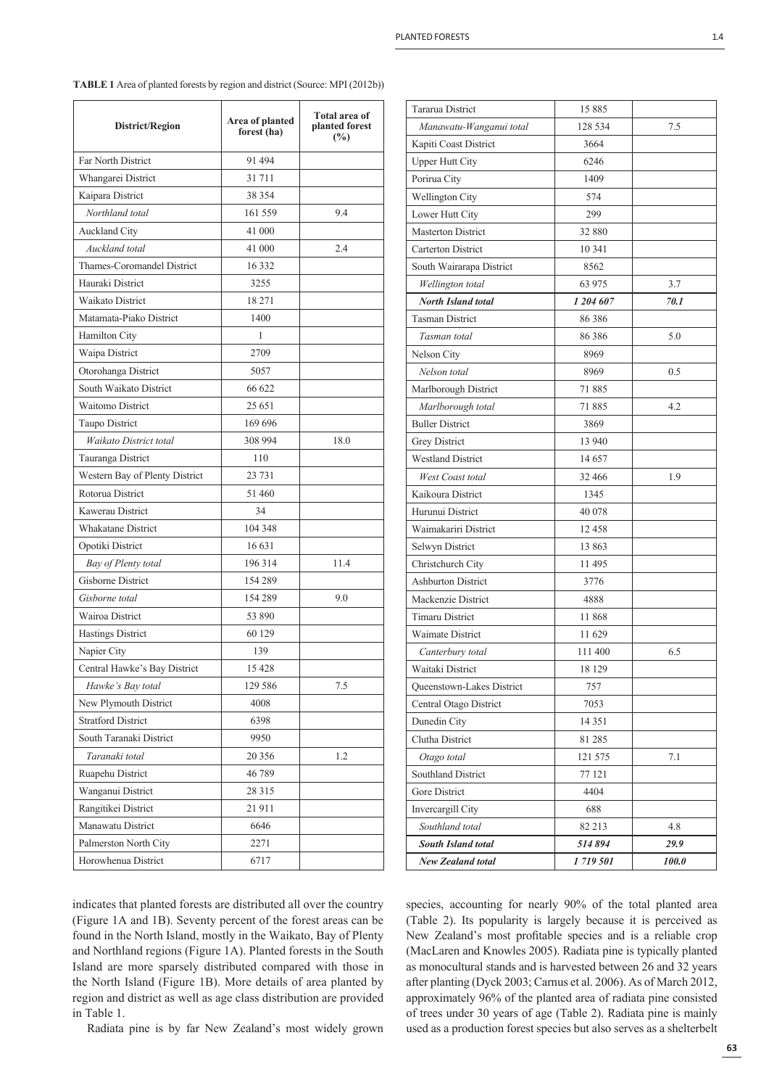indicates that planted forests are distributed all over the country (Figure 1A and 1B). Seventy percent of the forest areas can be found in the North Island, mostly in the Waikato, Bay of Plenty and Northland regions (Figure 1A). Planted forests in the South Island are more sparsely distributed compared with those in the North Island (Figure 1B). More details of area planted by region and district as well as age class distribution are provided in Table 1.

Radiata pine is by far New Zealand's most widely grown

| <b>New Zealand total</b>  | 1719501   | 100.0 |
|---------------------------|-----------|-------|
| <b>South Island total</b> | 514894    | 29.9  |
| Southland total           | 82 213    | 4.8   |
| Invercargill City         | 688       |       |
| Gore District             | 4404      |       |
| Southland District        | 77 121    |       |
| Otago total               | 121 575   | 7.1   |
| Clutha District           | 81 285    |       |
| Dunedin City              | 14 351    |       |
| Central Otago District    | 7053      |       |
| Queenstown-Lakes District | 757       |       |
| Waitaki District          | 18 129    |       |
| Canterbury total          | 111 400   | 6.5   |
| Waimate District          | 11629     |       |
| <b>Timaru District</b>    | 11868     |       |
| Mackenzie District        | 4888      |       |
| <b>Ashburton District</b> | 3776      |       |
| Christchurch City         | 11495     |       |
| Selwyn District           | 13 863    |       |
| Waimakariri District      | 12458     |       |
| Hurunui District          | 40 078    |       |
| Kaikoura District         | 1345      |       |
| West Coast total          | 32 466    | 1.9   |
| <b>Westland District</b>  | 14657     |       |
| Grey District             | 13 940    |       |
| <b>Buller District</b>    | 3869      |       |
| Marlborough total         | 71885     | 4.2   |
| Marlborough District      | 71885     |       |
| Nelson total              | 8969      | 0.5   |
| Nelson City               | 8969      |       |
| Tasman total              | 86 3 86   | 5.0   |
| <b>Tasman District</b>    | 86386     |       |
| <b>North Island total</b> | 1 204 607 | 70.1  |
| Wellington total          | 63 975    | 3.7   |
| South Wairarapa District  | 8562      |       |
| <b>Carterton District</b> | 10 341    |       |
| <b>Masterton District</b> | 32 880    |       |
| Lower Hutt City           | 299       |       |
| <b>Wellington City</b>    | 574       |       |
| Porirua City              | 1409      |       |
| <b>Upper Hutt City</b>    | 6246      |       |
| Kapiti Coast District     | 3664      |       |
| Manawatu-Wanganui total   | 128 534   | 7.5   |
| <b>Tararua District</b>   | 15885     |       |
|                           |           |       |

species, accounting for nearly 90% of the total planted area (Table 2). Its popularity is largely because it is perceived as New Zealand's most profitable species and is a reliable crop (MacLaren and Knowles 2005). Radiata pine is typically planted as monocultural stands and is harvested between 26 and 32 years after planting (Dyck 2003; Carnus et al. 2006). As of March 2012, approximately 96% of the planted area of radiata pine consisted of trees under 30 years of age (Table 2). Radiata pine is mainly used as a production forest species but also serves as a shelterbelt

Ruapehu District 46 789 Wanganui District 28 315 Rangitikei District 21 911 Manawatu District 6646 Palmerston North City 2271 Horowhenua District 6717

| <b>TABLE 1</b> Area of planted forests by region and district (Source: MPI (2012b)) |  |
|-------------------------------------------------------------------------------------|--|
|-------------------------------------------------------------------------------------|--|

**forest (ha)**

**Total area of planted forest (%)**

**District/Region Area of planted** 

*Northland total* 161 559 9.4

*Auckland total* 41 000 2.4

*Waikato District total* 308 994 18.0

*Bay of Plenty total* 196 314 11.4

*Gisborne total* 154 289 9.0

*Hawke's Bay total* 129 586 7.5

*Taranaki total* 20 356 1.2

Far North District 91 494 Whangarei District 31 711 Kaipara District 38 354

Auckland City 41 000

Thames-Coromandel District 16 332 Hauraki District 3255 Waikato District 18 271 Matamata-Piako District 1400 Hamilton City 1 Waipa District 2709 Otorohanga District 5057 South Waikato District 66 622 Waitomo District 25 651 Taupo District 169 696

Tauranga District 110 Western Bay of Plenty District 23 731 Rotorua District 51 460 Kawerau District 34 Whakatane District 104 348 Opotiki District 16 631

Gisborne District 154 289

Wairoa District 53 890 Hastings District 60 129 Napier City 139 Central Hawke's Bay District 15 428

New Plymouth District 4008 Stratford District 6398 South Taranaki District 9950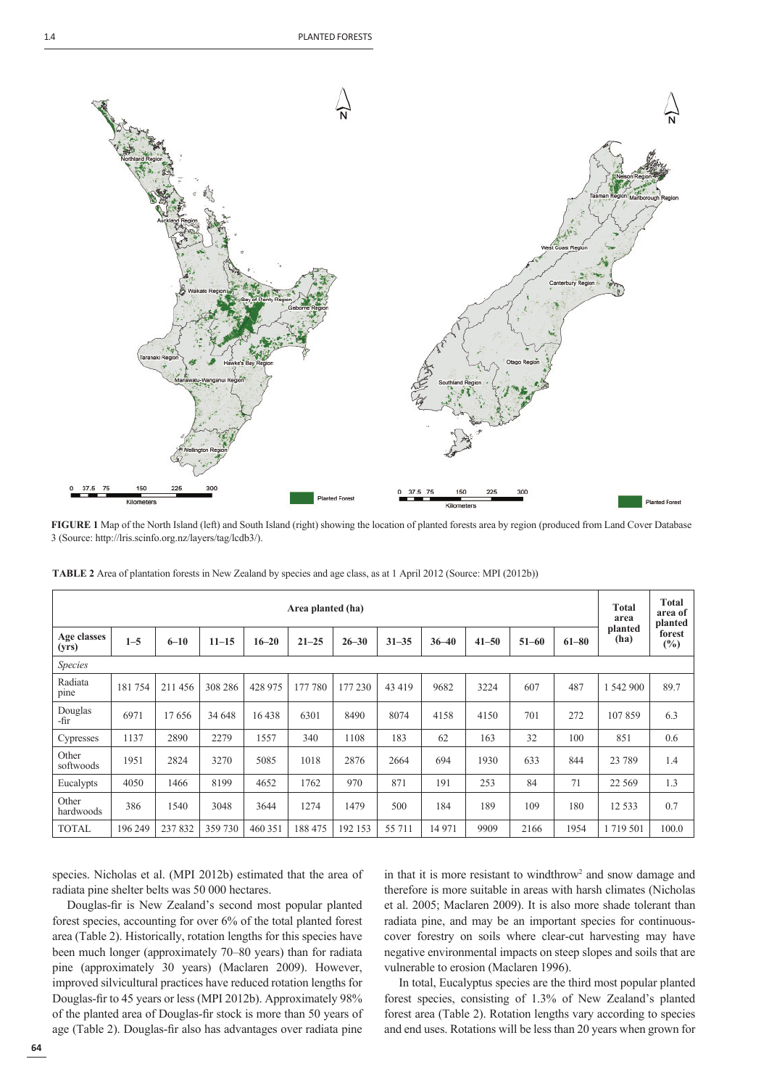

**FIGURE 1** Map of the North Island (left) and South Island (right) showing the location of planted forests area by region (produced from Land Cover Database 3 (Source: http://lris.scinfo.org.nz/layers/tag/lcdb3/).

| Area planted (ha)    |         |          |           |           |           |           |           | <b>Total</b><br>area | <b>Total</b><br>area of<br>planted |           |           |                 |                  |
|----------------------|---------|----------|-----------|-----------|-----------|-----------|-----------|----------------------|------------------------------------|-----------|-----------|-----------------|------------------|
| Age classes<br>(yrs) | $1 - 5$ | $6 - 10$ | $11 - 15$ | $16 - 20$ | $21 - 25$ | $26 - 30$ | $31 - 35$ | $36 - 40$            | $41 - 50$                          | $51 - 60$ | $61 - 80$ | planted<br>(ha) | forest<br>$(\%)$ |
| <b>Species</b>       |         |          |           |           |           |           |           |                      |                                    |           |           |                 |                  |
| Radiata<br>pine      | 181754  | 211 456  | 308 286   | 428 975   | 177 780   | 177 230   | 43 419    | 9682                 | 3224                               | 607       | 487       | 1 542 900       | 89.7             |
| Douglas<br>-fir      | 6971    | 17656    | 34 648    | 16438     | 6301      | 8490      | 8074      | 4158                 | 4150                               | 701       | 272       | 107859          | 6.3              |
| Cypresses            | 1137    | 2890     | 2279      | 1557      | 340       | 1108      | 183       | 62                   | 163                                | 32        | 100       | 851             | 0.6              |
| Other<br>softwoods   | 1951    | 2824     | 3270      | 5085      | 1018      | 2876      | 2664      | 694                  | 1930                               | 633       | 844       | 23 7 89         | 1.4              |
| Eucalypts            | 4050    | 1466     | 8199      | 4652      | 1762      | 970       | 871       | 191                  | 253                                | 84        | 71        | 22 5 6 9        | 1.3              |
| Other<br>hardwoods   | 386     | 1540     | 3048      | 3644      | 1274      | 1479      | 500       | 184                  | 189                                | 109       | 180       | 12 5 3 3        | 0.7              |
| <b>TOTAL</b>         | 196 249 | 237832   | 359 730   | 460 351   | 188 475   | 192 153   | 55 711    | 14 971               | 9909                               | 2166      | 1954      | 1719501         | 100.0            |

**TABLE 2** Area of plantation forests in New Zealand by species and age class, as at 1 April 2012 (Source: MPI (2012b))

species. Nicholas et al. (MPI 2012b) estimated that the area of radiata pine shelter belts was 50 000 hectares.

Douglas-fir is New Zealand's second most popular planted forest species, accounting for over 6% of the total planted forest area (Table 2). Historically, rotation lengths for this species have been much longer (approximately 70–80 years) than for radiata pine (approximately 30 years) (Maclaren 2009). However, improved silvicultural practices have reduced rotation lengths for Douglas-fir to 45 years or less (MPI 2012b). Approximately 98% of the planted area of Douglas-fi r stock is more than 50 years of age (Table 2). Douglas-fir also has advantages over radiata pine in that it is more resistant to windthrow<sup>2</sup> and snow damage and therefore is more suitable in areas with harsh climates (Nicholas et al. 2005; Maclaren 2009). It is also more shade tolerant than radiata pine, and may be an important species for continuouscover forestry on soils where clear-cut harvesting may have negative environmental impacts on steep slopes and soils that are vulnerable to erosion (Maclaren 1996).

In total, Eucalyptus species are the third most popular planted forest species, consisting of 1.3% of New Zealand's planted forest area (Table 2). Rotation lengths vary according to species and end uses. Rotations will be less than 20 years when grown for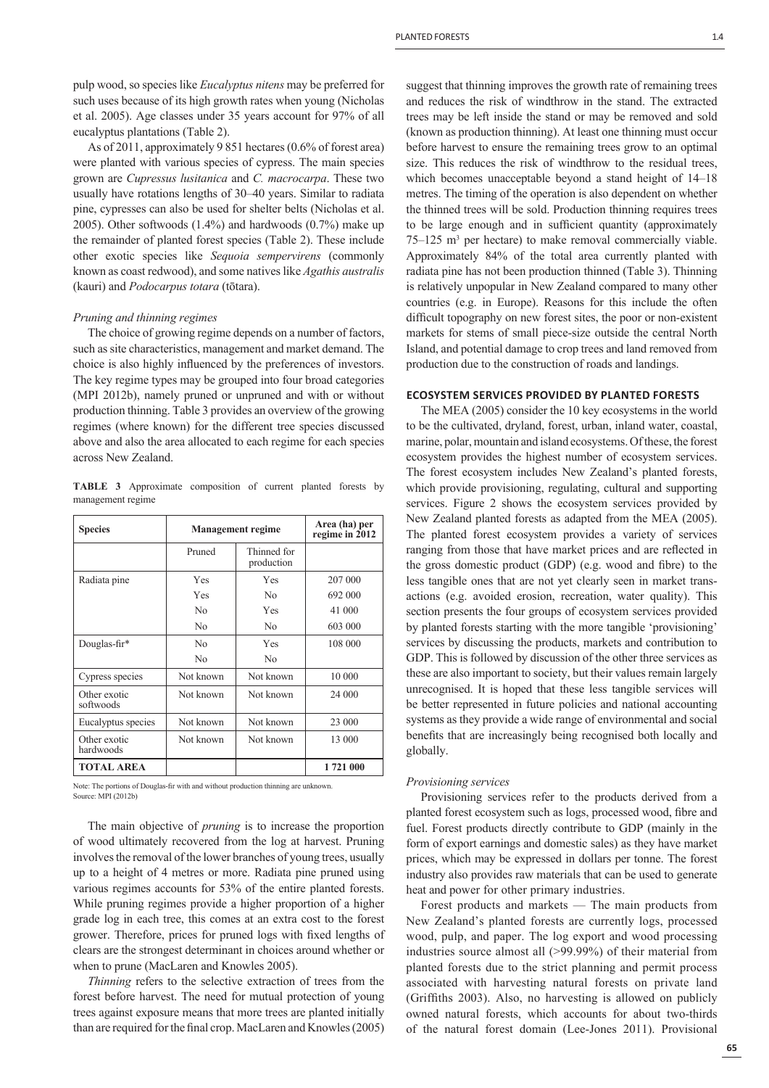pulp wood, so species like *Eucalyptus nitens* may be preferred for such uses because of its high growth rates when young (Nicholas et al. 2005). Age classes under 35 years account for 97% of all eucalyptus plantations (Table 2).

As of 2011, approximately 9 851 hectares (0.6% of forest area) were planted with various species of cypress. The main species grown are *Cupressus lusitanica* and *C. macrocarpa*. These two usually have rotations lengths of 30–40 years. Similar to radiata pine, cypresses can also be used for shelter belts (Nicholas et al. 2005). Other softwoods (1.4%) and hardwoods (0.7%) make up the remainder of planted forest species (Table 2). These include other exotic species like *Sequoia sempervirens* (commonly known as coast redwood), and some natives like *Agathis australis* (kauri) and *Podocarpus totara* (tōtara).

#### *Pruning and thinning regimes*

The choice of growing regime depends on a number of factors, such as site characteristics, management and market demand. The choice is also highly influenced by the preferences of investors. The key regime types may be grouped into four broad categories (MPI 2012b), namely pruned or unpruned and with or without production thinning. Table 3 provides an overview of the growing regimes (where known) for the different tree species discussed above and also the area allocated to each regime for each species across New Zealand.

**TABLE 3** Approximate composition of current planted forests by management regime

| <b>Species</b>            | <b>Management regime</b> | Area (ha) per<br>regime in 2012 |          |
|---------------------------|--------------------------|---------------------------------|----------|
|                           | Pruned                   | Thinned for<br>production       |          |
| Radiata pine              | Yes                      | Yes                             | 207 000  |
|                           | Yes                      | N <sub>0</sub>                  | 692 000  |
|                           | No                       | Yes                             | 41 000   |
|                           | No                       | N <sub>0</sub>                  | 603 000  |
| Douglas-fir*              | No                       | Yes                             | 108 000  |
|                           | No                       | N <sub>0</sub>                  |          |
| Cypress species           | Not known                | Not known                       | 10 000   |
| Other exotic<br>softwoods | Not known                | Not known                       | 24 000   |
| Eucalyptus species        | Not known                | Not known                       | 23 000   |
| Other exotic<br>hardwoods | Not known                | Not known                       | 13 000   |
| <b>TOTAL AREA</b>         |                          |                                 | 1721 000 |

Note: The portions of Douglas-fir with and without production thinning are unknown. Source: MPI (2012b)

The main objective of *pruning* is to increase the proportion of wood ultimately recovered from the log at harvest. Pruning involves the removal of the lower branches of young trees, usually up to a height of 4 metres or more. Radiata pine pruned using various regimes accounts for 53% of the entire planted forests. While pruning regimes provide a higher proportion of a higher grade log in each tree, this comes at an extra cost to the forest grower. Therefore, prices for pruned logs with fixed lengths of clears are the strongest determinant in choices around whether or when to prune (MacLaren and Knowles 2005).

*Thinning* refers to the selective extraction of trees from the forest before harvest. The need for mutual protection of young trees against exposure means that more trees are planted initially than are required for the final crop. MacLaren and Knowles (2005)

suggest that thinning improves the growth rate of remaining trees and reduces the risk of windthrow in the stand. The extracted trees may be left inside the stand or may be removed and sold (known as production thinning). At least one thinning must occur before harvest to ensure the remaining trees grow to an optimal size. This reduces the risk of windthrow to the residual trees, which becomes unacceptable beyond a stand height of 14–18 metres. The timing of the operation is also dependent on whether the thinned trees will be sold. Production thinning requires trees to be large enough and in sufficient quantity (approximately 75–125 m3 per hectare) to make removal commercially viable. Approximately 84% of the total area currently planted with radiata pine has not been production thinned (Table 3). Thinning is relatively unpopular in New Zealand compared to many other countries (e.g. in Europe). Reasons for this include the often difficult topography on new forest sites, the poor or non-existent markets for stems of small piece-size outside the central North Island, and potential damage to crop trees and land removed from production due to the construction of roads and landings.

## **ECOSYSTEM SERVICES PROVIDED BY PLANTED FORESTS**

The MEA (2005) consider the 10 key ecosystems in the world to be the cultivated, dryland, forest, urban, inland water, coastal, marine, polar, mountain and island ecosystems. Of these, the forest ecosystem provides the highest number of ecosystem services. The forest ecosystem includes New Zealand's planted forests, which provide provisioning, regulating, cultural and supporting services. Figure 2 shows the ecosystem services provided by New Zealand planted forests as adapted from the MEA (2005). The planted forest ecosystem provides a variety of services ranging from those that have market prices and are reflected in the gross domestic product  $(GDP)$  (e.g. wood and fibre) to the less tangible ones that are not yet clearly seen in market transactions (e.g. avoided erosion, recreation, water quality). This section presents the four groups of ecosystem services provided by planted forests starting with the more tangible 'provisioning' services by discussing the products, markets and contribution to GDP. This is followed by discussion of the other three services as these are also important to society, but their values remain largely unrecognised. It is hoped that these less tangible services will be better represented in future policies and national accounting systems as they provide a wide range of environmental and social benefits that are increasingly being recognised both locally and globally.

#### *Provisioning services*

Provisioning services refer to the products derived from a planted forest ecosystem such as logs, processed wood, fibre and fuel. Forest products directly contribute to GDP (mainly in the form of export earnings and domestic sales) as they have market prices, which may be expressed in dollars per tonne. The forest industry also provides raw materials that can be used to generate heat and power for other primary industries.

Forest products and markets — The main products from New Zealand's planted forests are currently logs, processed wood, pulp, and paper. The log export and wood processing industries source almost all (>99.99%) of their material from planted forests due to the strict planning and permit process associated with harvesting natural forests on private land (Griffiths 2003). Also, no harvesting is allowed on publicly owned natural forests, which accounts for about two-thirds of the natural forest domain (Lee-Jones 2011). Provisional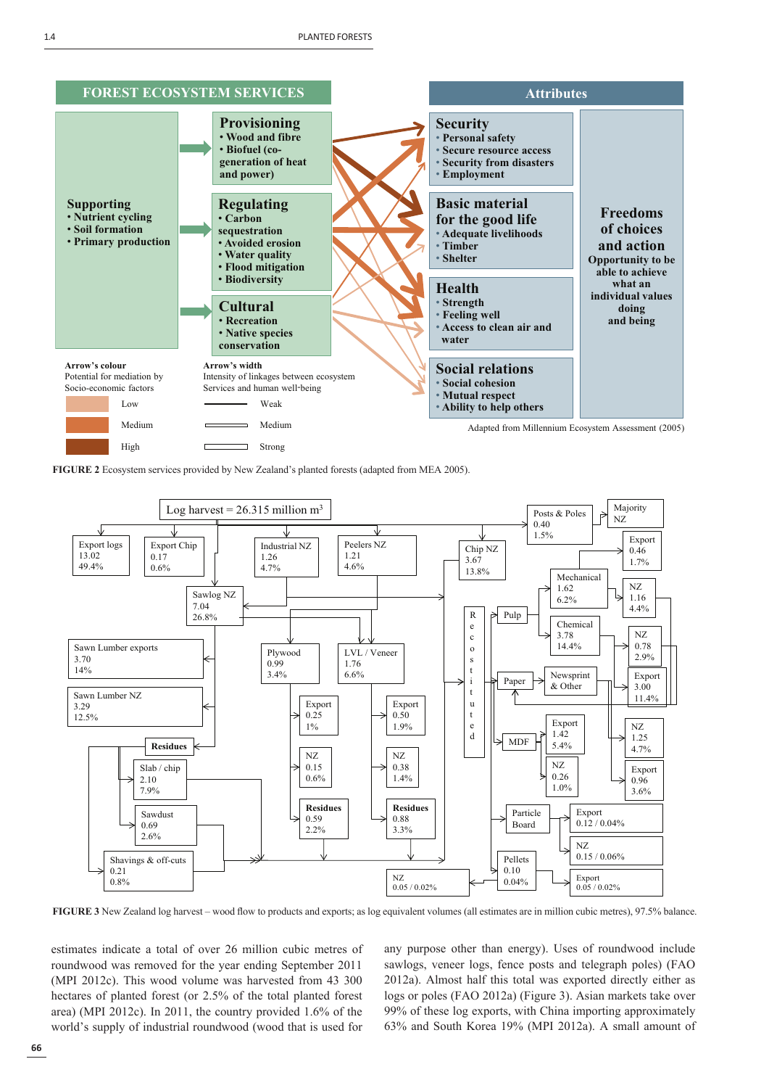





FIGURE 3 New Zealand log harvest – wood flow to products and exports; as log equivalent volumes (all estimates are in million cubic metres), 97.5% balance.

estimates indicate a total of over 26 million cubic metres of roundwood was removed for the year ending September 2011 (MPI 2012c). This wood volume was harvested from 43 300 hectares of planted forest (or 2.5% of the total planted forest area) (MPI 2012c). In 2011, the country provided 1.6% of the world's supply of industrial roundwood (wood that is used for

any purpose other than energy). Uses of roundwood include sawlogs, veneer logs, fence posts and telegraph poles) (FAO 2012a). Almost half this total was exported directly either as logs or poles (FAO 2012a) (Figure 3). Asian markets take over 99% of these log exports, with China importing approximately 63% and South Korea 19% (MPI 2012a). A small amount of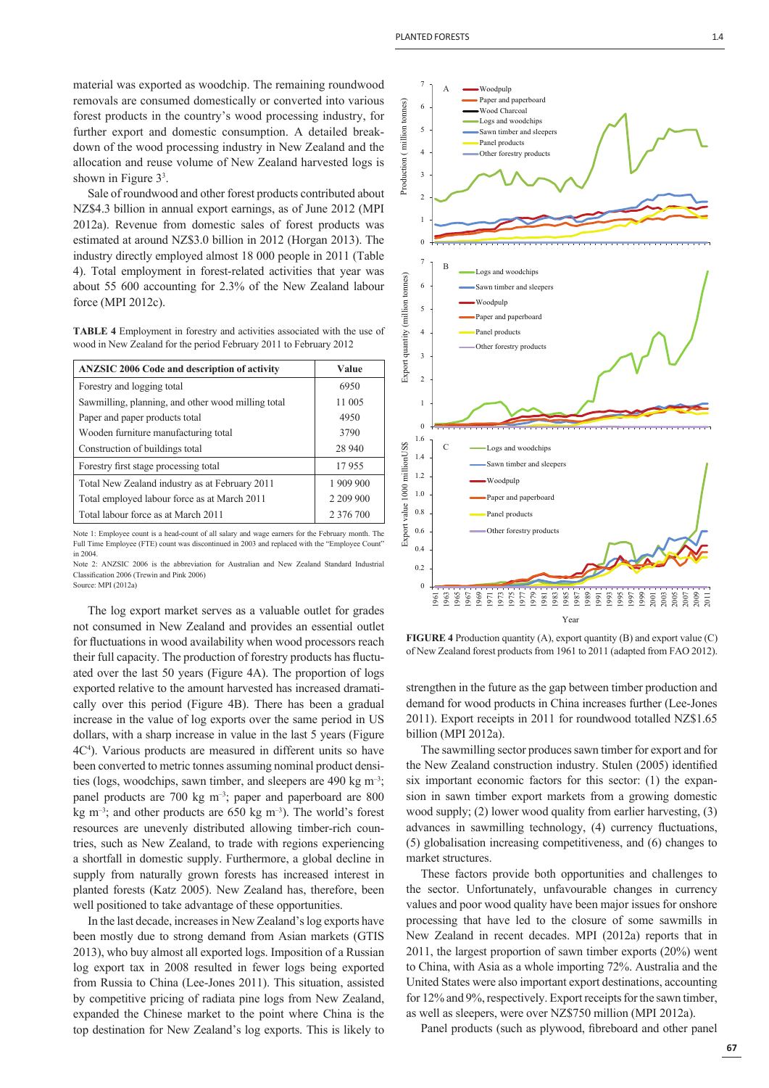Sale of roundwood and other forest products contributed about NZ\$4.3 billion in annual export earnings, as of June 2012 (MPI 2012a). Revenue from domestic sales of forest products was estimated at around NZ\$3.0 billion in 2012 (Horgan 2013). The industry directly employed almost 18 000 people in 2011 (Table 4). Total employment in forest-related activities that year was about 55 600 accounting for 2.3% of the New Zealand labour force (MPI 2012c).

**TABLE 4** Employment in forestry and activities associated with the use of wood in New Zealand for the period February 2011 to February 2012

| <b>ANZSIC 2006 Code and description of activity</b> | Value         |
|-----------------------------------------------------|---------------|
| Forestry and logging total                          | 6950          |
| Sawmilling, planning, and other wood milling total  | 11 005        |
| Paper and paper products total                      | 4950          |
| Wooden furniture manufacturing total                | 3790          |
| Construction of buildings total                     | 28 940        |
| Forestry first stage processing total               | 17955         |
| Total New Zealand industry as at February 2011      | 1 909 900     |
| Total employed labour force as at March 2011        | 2 209 900     |
| Total labour force as at March 2011                 | 2 3 7 6 7 0 0 |

Note 1: Employee count is a head-count of all salary and wage earners for the February month. The Full Time Employee (FTE) count was discontinued in 2003 and replaced with the "Employee Count" in 2004.

Note 2: ANZSIC 2006 is the abbreviation for Australian and New Zealand Standard Industrial Classification 2006 (Trewin and Pink 2006)

Source: MPI (2012a)

The log export market serves as a valuable outlet for grades not consumed in New Zealand and provides an essential outlet for fluctuations in wood availability when wood processors reach their full capacity. The production of forestry products has fluctuated over the last 50 years (Figure 4A). The proportion of logs exported relative to the amount harvested has increased dramatically over this period (Figure 4B). There has been a gradual increase in the value of log exports over the same period in US dollars, with a sharp increase in value in the last 5 years (Figure 4C4 ). Various products are measured in different units so have been converted to metric tonnes assuming nominal product densities (logs, woodchips, sawn timber, and sleepers are 490 kg m–3; panel products are 700 kg m–3; paper and paperboard are 800 kg  $m^{-3}$ ; and other products are 650 kg  $m^{-3}$ ). The world's forest resources are unevenly distributed allowing timber-rich countries, such as New Zealand, to trade with regions experiencing a shortfall in domestic supply. Furthermore, a global decline in supply from naturally grown forests has increased interest in planted forests (Katz 2005). New Zealand has, therefore, been well positioned to take advantage of these opportunities.

In the last decade, increases in New Zealand's log exports have been mostly due to strong demand from Asian markets (GTIS 2013), who buy almost all exported logs. Imposition of a Russian log export tax in 2008 resulted in fewer logs being exported from Russia to China (Lee-Jones 2011). This situation, assisted by competitive pricing of radiata pine logs from New Zealand, expanded the Chinese market to the point where China is the top destination for New Zealand's log exports. This is likely to



**FIGURE 4** Production quantity (A), export quantity (B) and export value (C) of New Zealand forest products from 1961 to 2011 (adapted from FAO 2012).

strengthen in the future as the gap between timber production and demand for wood products in China increases further (Lee-Jones 2011). Export receipts in 2011 for roundwood totalled NZ\$1.65 billion (MPI 2012a).

The sawmilling sector produces sawn timber for export and for the New Zealand construction industry. Stulen (2005) identified six important economic factors for this sector: (1) the expansion in sawn timber export markets from a growing domestic wood supply; (2) lower wood quality from earlier harvesting, (3) advances in sawmilling technology, (4) currency fluctuations, (5) globalisation increasing competitiveness, and (6) changes to market structures.

These factors provide both opportunities and challenges to the sector. Unfortunately, unfavourable changes in currency values and poor wood quality have been major issues for onshore processing that have led to the closure of some sawmills in New Zealand in recent decades. MPI (2012a) reports that in 2011, the largest proportion of sawn timber exports (20%) went to China, with Asia as a whole importing 72%. Australia and the United States were also important export destinations, accounting for 12% and 9%, respectively. Export receipts for the sawn timber, as well as sleepers, were over NZ\$750 million (MPI 2012a).

Panel products (such as plywood, fibreboard and other panel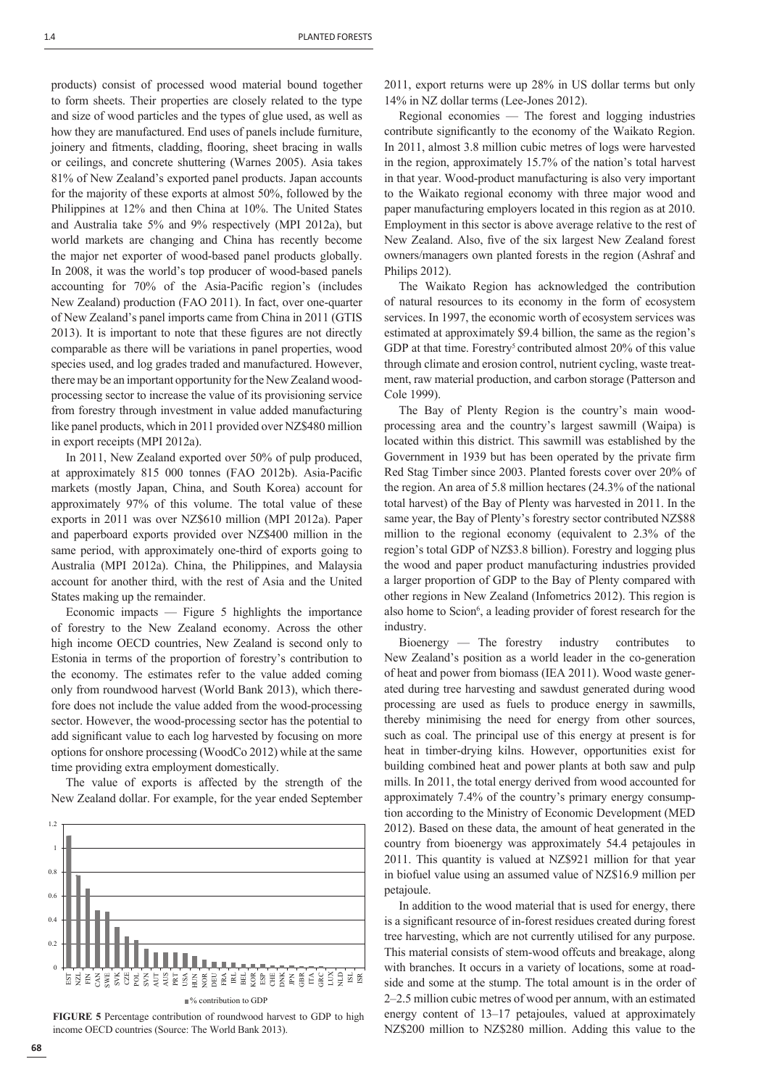1.4 PLANTED FORESTS

products) consist of processed wood material bound together to form sheets. Their properties are closely related to the type and size of wood particles and the types of glue used, as well as how they are manufactured. End uses of panels include furniture, joinery and fitments, cladding, flooring, sheet bracing in walls or ceilings, and concrete shuttering (Warnes 2005). Asia takes 81% of New Zealand's exported panel products. Japan accounts for the majority of these exports at almost 50%, followed by the Philippines at 12% and then China at 10%. The United States and Australia take 5% and 9% respectively (MPI 2012a), but world markets are changing and China has recently become the major net exporter of wood-based panel products globally. In 2008, it was the world's top producer of wood-based panels accounting for 70% of the Asia-Pacific region's (includes New Zealand) production (FAO 2011). In fact, over one-quarter of New Zealand's panel imports came from China in 2011 (GTIS 2013). It is important to note that these figures are not directly comparable as there will be variations in panel properties, wood species used, and log grades traded and manufactured. However, there may be an important opportunity for the New Zealand woodprocessing sector to increase the value of its provisioning service from forestry through investment in value added manufacturing like panel products, which in 2011 provided over NZ\$480 million in export receipts (MPI 2012a).

In 2011, New Zealand exported over 50% of pulp produced, at approximately 815 000 tonnes (FAO 2012b). Asia-Pacific markets (mostly Japan, China, and South Korea) account for approximately 97% of this volume. The total value of these exports in 2011 was over NZ\$610 million (MPI 2012a). Paper and paperboard exports provided over NZ\$400 million in the same period, with approximately one-third of exports going to Australia (MPI 2012a). China, the Philippines, and Malaysia account for another third, with the rest of Asia and the United States making up the remainder.

Economic impacts — Figure 5 highlights the importance of forestry to the New Zealand economy. Across the other high income OECD countries, New Zealand is second only to Estonia in terms of the proportion of forestry's contribution to the economy. The estimates refer to the value added coming only from roundwood harvest (World Bank 2013), which therefore does not include the value added from the wood-processing sector. However, the wood-processing sector has the potential to add significant value to each log harvested by focusing on more options for onshore processing (WoodCo 2012) while at the same time providing extra employment domestically.

The value of exports is affected by the strength of the New Zealand dollar. For example, for the year ended September



**FIGURE 5** Percentage contribution of roundwood harvest to GDP to high income OECD countries (Source: The World Bank 2013).

2011, export returns were up 28% in US dollar terms but only 14% in NZ dollar terms (Lee-Jones 2012).

Regional economies — The forest and logging industries contribute significantly to the economy of the Waikato Region. In 2011, almost 3.8 million cubic metres of logs were harvested in the region, approximately 15.7% of the nation's total harvest in that year. Wood-product manufacturing is also very important to the Waikato regional economy with three major wood and paper manufacturing employers located in this region as at 2010. Employment in this sector is above average relative to the rest of New Zealand. Also, five of the six largest New Zealand forest owners/managers own planted forests in the region (Ashraf and Philips 2012).

The Waikato Region has acknowledged the contribution of natural resources to its economy in the form of ecosystem services. In 1997, the economic worth of ecosystem services was estimated at approximately \$9.4 billion, the same as the region's GDP at that time. Forestry<sup>5</sup> contributed almost  $20\%$  of this value through climate and erosion control, nutrient cycling, waste treatment, raw material production, and carbon storage (Patterson and Cole 1999).

The Bay of Plenty Region is the country's main woodprocessing area and the country's largest sawmill (Waipa) is located within this district. This sawmill was established by the Government in 1939 but has been operated by the private firm Red Stag Timber since 2003. Planted forests cover over 20% of the region. An area of 5.8 million hectares (24.3% of the national total harvest) of the Bay of Plenty was harvested in 2011. In the same year, the Bay of Plenty's forestry sector contributed NZ\$88 million to the regional economy (equivalent to 2.3% of the region's total GDP of NZ\$3.8 billion). Forestry and logging plus the wood and paper product manufacturing industries provided a larger proportion of GDP to the Bay of Plenty compared with other regions in New Zealand (Infometrics 2012). This region is also home to Scion<sup>6</sup>, a leading provider of forest research for the industry.

Bioenergy — The forestry industry contributes to New Zealand's position as a world leader in the co-generation of heat and power from biomass (IEA 2011). Wood waste generated during tree harvesting and sawdust generated during wood processing are used as fuels to produce energy in sawmills, thereby minimising the need for energy from other sources, such as coal. The principal use of this energy at present is for heat in timber-drying kilns. However, opportunities exist for building combined heat and power plants at both saw and pulp mills. In 2011, the total energy derived from wood accounted for approximately 7.4% of the country's primary energy consumption according to the Ministry of Economic Development (MED 2012). Based on these data, the amount of heat generated in the country from bioenergy was approximately 54.4 petajoules in 2011. This quantity is valued at NZ\$921 million for that year in biofuel value using an assumed value of NZ\$16.9 million per petajoule.

In addition to the wood material that is used for energy, there is a significant resource of in-forest residues created during forest tree harvesting, which are not currently utilised for any purpose. This material consists of stem-wood offcuts and breakage, along with branches. It occurs in a variety of locations, some at roadside and some at the stump. The total amount is in the order of 2–2.5 million cubic metres of wood per annum, with an estimated energy content of 13–17 petajoules, valued at approximately NZ\$200 million to NZ\$280 million. Adding this value to the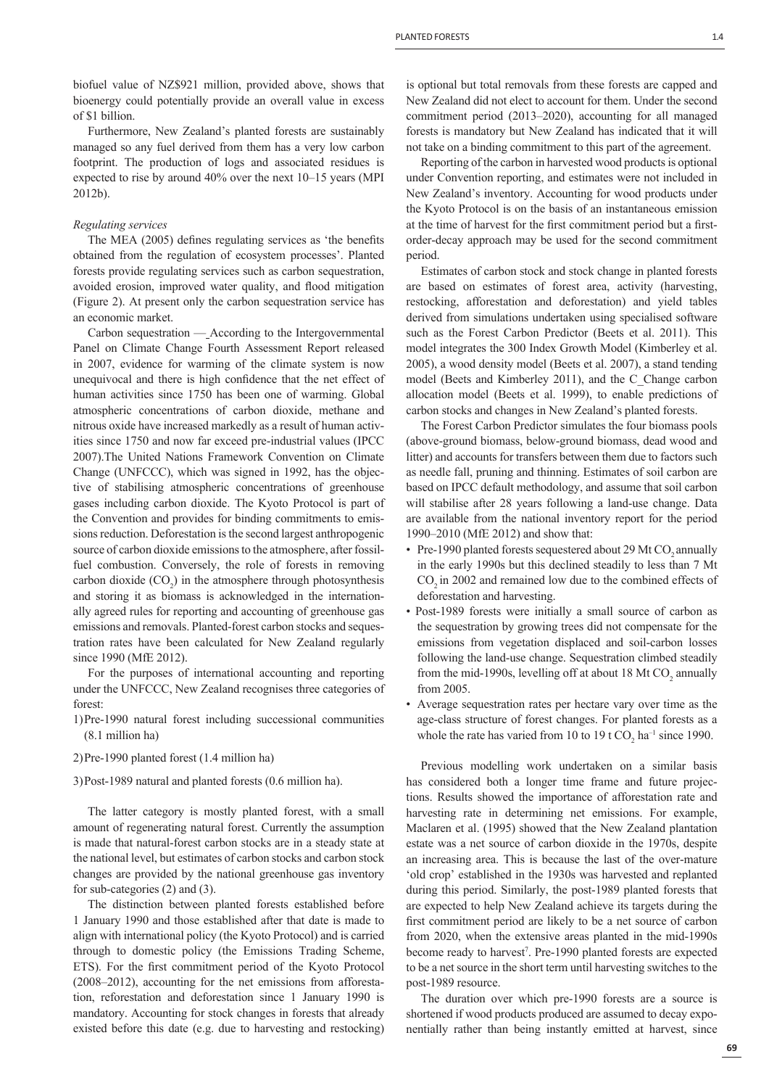biofuel value of NZ\$921 million, provided above, shows that bioenergy could potentially provide an overall value in excess of \$1 billion.

Furthermore, New Zealand's planted forests are sustainably managed so any fuel derived from them has a very low carbon footprint. The production of logs and associated residues is expected to rise by around 40% over the next 10–15 years (MPI 2012b).

#### *Regulating services*

The MEA (2005) defines regulating services as 'the benefits obtained from the regulation of ecosystem processes'. Planted forests provide regulating services such as carbon sequestration, avoided erosion, improved water quality, and flood mitigation (Figure 2). At present only the carbon sequestration service has an economic market.

Carbon sequestration — According to the Intergovernmental Panel on Climate Change Fourth Assessment Report released in 2007, evidence for warming of the climate system is now unequivocal and there is high confidence that the net effect of human activities since 1750 has been one of warming. Global atmospheric concentrations of carbon dioxide, methane and nitrous oxide have increased markedly as a result of human activities since 1750 and now far exceed pre-industrial values (IPCC 2007).The United Nations Framework Convention on Climate Change (UNFCCC), which was signed in 1992, has the objective of stabilising atmospheric concentrations of greenhouse gases including carbon dioxide. The Kyoto Protocol is part of the Convention and provides for binding commitments to emissions reduction. Deforestation is the second largest anthropogenic source of carbon dioxide emissions to the atmosphere, after fossilfuel combustion. Conversely, the role of forests in removing carbon dioxide  $(CO_2)$  in the atmosphere through photosynthesis and storing it as biomass is acknowledged in the internationally agreed rules for reporting and accounting of greenhouse gas emissions and removals. Planted-forest carbon stocks and sequestration rates have been calculated for New Zealand regularly since 1990 (MfE 2012).

For the purposes of international accounting and reporting under the UNFCCC, New Zealand recognises three categories of forest:

1) Pre-1990 natural forest including successional communities (8.1 million ha)

#### 2) Pre-1990 planted forest (1.4 million ha)

3) Post-1989 natural and planted forests (0.6 million ha).

The latter category is mostly planted forest, with a small amount of regenerating natural forest. Currently the assumption is made that natural-forest carbon stocks are in a steady state at the national level, but estimates of carbon stocks and carbon stock changes are provided by the national greenhouse gas inventory for sub-categories (2) and (3).

The distinction between planted forests established before 1 January 1990 and those established after that date is made to align with international policy (the Kyoto Protocol) and is carried through to domestic policy (the Emissions Trading Scheme, ETS). For the first commitment period of the Kyoto Protocol (2008–2012), accounting for the net emissions from afforestation, reforestation and deforestation since 1 January 1990 is mandatory. Accounting for stock changes in forests that already existed before this date (e.g. due to harvesting and restocking)

is optional but total removals from these forests are capped and New Zealand did not elect to account for them. Under the second commitment period (2013–2020), accounting for all managed forests is mandatory but New Zealand has indicated that it will not take on a binding commitment to this part of the agreement.

Reporting of the carbon in harvested wood products is optional under Convention reporting, and estimates were not included in New Zealand's inventory. Accounting for wood products under the Kyoto Protocol is on the basis of an instantaneous emission at the time of harvest for the first commitment period but a firstorder-decay approach may be used for the second commitment period.

Estimates of carbon stock and stock change in planted forests are based on estimates of forest area, activity (harvesting, restocking, afforestation and deforestation) and yield tables derived from simulations undertaken using specialised software such as the Forest Carbon Predictor (Beets et al. 2011). This model integrates the 300 Index Growth Model (Kimberley et al. 2005), a wood density model (Beets et al. 2007), a stand tending model (Beets and Kimberley 2011), and the C\_Change carbon allocation model (Beets et al. 1999), to enable predictions of carbon stocks and changes in New Zealand's planted forests.

The Forest Carbon Predictor simulates the four biomass pools (above-ground biomass, below-ground biomass, dead wood and litter) and accounts for transfers between them due to factors such as needle fall, pruning and thinning. Estimates of soil carbon are based on IPCC default methodology, and assume that soil carbon will stabilise after 28 years following a land-use change. Data are available from the national inventory report for the period 1990–2010 (MfE 2012) and show that:

- Pre-1990 planted forests sequestered about 29 Mt CO<sub>2</sub> annually in the early 1990s but this declined steadily to less than 7 Mt CO<sub>2</sub> in 2002 and remained low due to the combined effects of deforestation and harvesting.
- Post-1989 forests were initially a small source of carbon as the sequestration by growing trees did not compensate for the emissions from vegetation displaced and soil-carbon losses following the land-use change. Sequestration climbed steadily from the mid-1990s, levelling off at about 18 Mt  $CO_2$  annually from 2005.
- Average sequestration rates per hectare vary over time as the age-class structure of forest changes. For planted forests as a whole the rate has varied from 10 to 19 t  $CO<sub>2</sub>$  ha<sup>-1</sup> since 1990.

Previous modelling work undertaken on a similar basis has considered both a longer time frame and future projections. Results showed the importance of afforestation rate and harvesting rate in determining net emissions. For example, Maclaren et al. (1995) showed that the New Zealand plantation estate was a net source of carbon dioxide in the 1970s, despite an increasing area. This is because the last of the over-mature 'old crop' established in the 1930s was harvested and replanted during this period. Similarly, the post-1989 planted forests that are expected to help New Zealand achieve its targets during the first commitment period are likely to be a net source of carbon from 2020, when the extensive areas planted in the mid-1990s become ready to harvest<sup>7</sup>. Pre-1990 planted forests are expected to be a net source in the short term until harvesting switches to the post-1989 resource.

The duration over which pre-1990 forests are a source is shortened if wood products produced are assumed to decay exponentially rather than being instantly emitted at harvest, since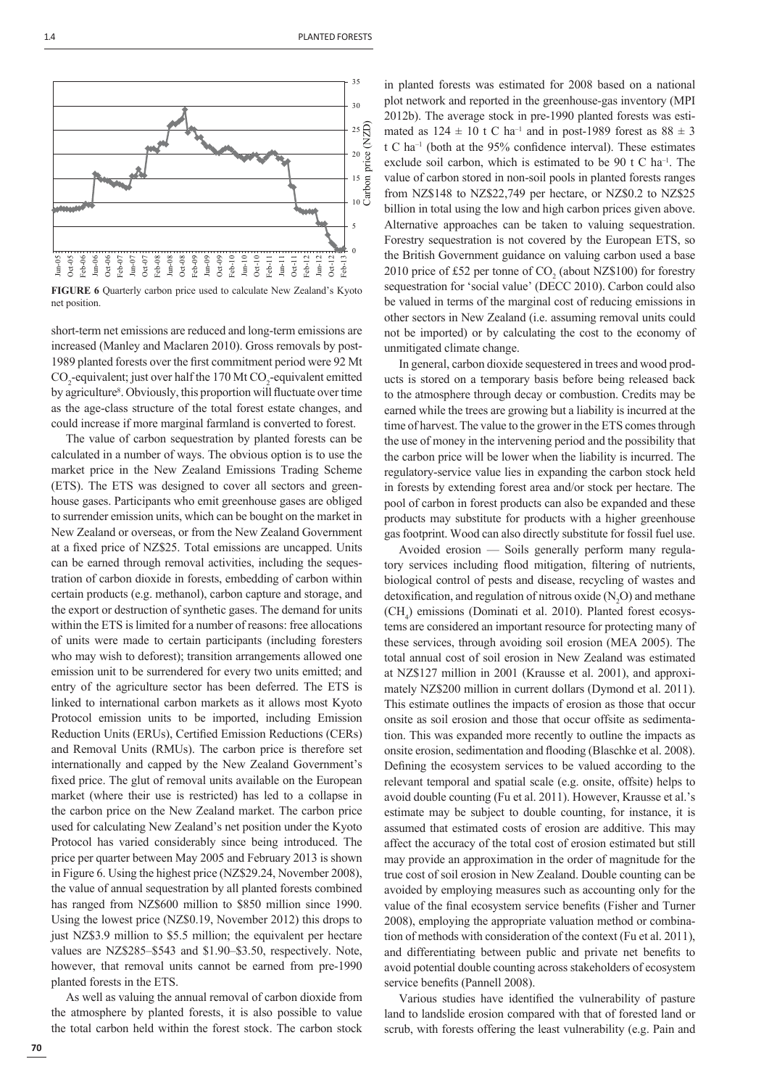

**FIGURE 6** Quarterly carbon price used to calculate New Zealand's Kyoto net position.

short-term net emissions are reduced and long-term emissions are increased (Manley and Maclaren 2010). Gross removals by post-1989 planted forests over the first commitment period were 92 Mt  $CO_2$ -equivalent; just over half the 170 Mt  $CO_2$ -equivalent emitted by agriculture<sup>8</sup>. Obviously, this proportion will fluctuate over time as the age-class structure of the total forest estate changes, and could increase if more marginal farmland is converted to forest.

The value of carbon sequestration by planted forests can be calculated in a number of ways. The obvious option is to use the market price in the New Zealand Emissions Trading Scheme (ETS). The ETS was designed to cover all sectors and greenhouse gases. Participants who emit greenhouse gases are obliged to surrender emission units, which can be bought on the market in New Zealand or overseas, or from the New Zealand Government at a fixed price of NZ\$25. Total emissions are uncapped. Units can be earned through removal activities, including the sequestration of carbon dioxide in forests, embedding of carbon within certain products (e.g. methanol), carbon capture and storage, and the export or destruction of synthetic gases. The demand for units within the ETS is limited for a number of reasons: free allocations of units were made to certain participants (including foresters who may wish to deforest); transition arrangements allowed one emission unit to be surrendered for every two units emitted; and entry of the agriculture sector has been deferred. The ETS is linked to international carbon markets as it allows most Kyoto Protocol emission units to be imported, including Emission Reduction Units (ERUs), Certified Emission Reductions (CERs) and Removal Units (RMUs). The carbon price is therefore set internationally and capped by the New Zealand Government's fixed price. The glut of removal units available on the European market (where their use is restricted) has led to a collapse in the carbon price on the New Zealand market. The carbon price used for calculating New Zealand's net position under the Kyoto Protocol has varied considerably since being introduced. The price per quarter between May 2005 and February 2013 is shown in Figure 6. Using the highest price (NZ\$29.24, November 2008), the value of annual sequestration by all planted forests combined has ranged from NZ\$600 million to \$850 million since 1990. Using the lowest price (NZ\$0.19, November 2012) this drops to just NZ\$3.9 million to \$5.5 million; the equivalent per hectare values are NZ\$285–\$543 and \$1.90–\$3.50, respectively. Note, however, that removal units cannot be earned from pre-1990 planted forests in the ETS.

As well as valuing the annual removal of carbon dioxide from the atmosphere by planted forests, it is also possible to value the total carbon held within the forest stock. The carbon stock in planted forests was estimated for 2008 based on a national plot network and reported in the greenhouse-gas inventory (MPI 2012b). The average stock in pre-1990 planted forests was estimated as  $124 \pm 10$  t C ha<sup>-1</sup> and in post-1989 forest as  $88 \pm 3$  $t C$  ha<sup>-1</sup> (both at the 95% confidence interval). These estimates exclude soil carbon, which is estimated to be 90 t C ha<sup>-1</sup>. The value of carbon stored in non-soil pools in planted forests ranges from NZ\$148 to NZ\$22,749 per hectare, or NZ\$0.2 to NZ\$25 billion in total using the low and high carbon prices given above. Alternative approaches can be taken to valuing sequestration. Forestry sequestration is not covered by the European ETS, so the British Government guidance on valuing carbon used a base 2010 price of £52 per tonne of  $CO<sub>2</sub>$  (about NZ\$100) for forestry sequestration for 'social value' (DECC 2010). Carbon could also be valued in terms of the marginal cost of reducing emissions in other sectors in New Zealand (i.e. assuming removal units could not be imported) or by calculating the cost to the economy of unmitigated climate change.

In general, carbon dioxide sequestered in trees and wood products is stored on a temporary basis before being released back to the atmosphere through decay or combustion. Credits may be earned while the trees are growing but a liability is incurred at the time of harvest. The value to the grower in the ETS comes through the use of money in the intervening period and the possibility that the carbon price will be lower when the liability is incurred. The regulatory-service value lies in expanding the carbon stock held in forests by extending forest area and/or stock per hectare. The pool of carbon in forest products can also be expanded and these products may substitute for products with a higher greenhouse gas footprint. Wood can also directly substitute for fossil fuel use.

Avoided erosion — Soils generally perform many regulatory services including flood mitigation, filtering of nutrients, biological control of pests and disease, recycling of wastes and detoxification, and regulation of nitrous oxide  $(N_2O)$  and methane (CH4 ) emissions (Dominati et al. 2010). Planted forest ecosystems are considered an important resource for protecting many of these services, through avoiding soil erosion (MEA 2005). The total annual cost of soil erosion in New Zealand was estimated at NZ\$127 million in 2001 (Krausse et al. 2001), and approximately NZ\$200 million in current dollars (Dymond et al. 2011). This estimate outlines the impacts of erosion as those that occur onsite as soil erosion and those that occur offsite as sedimentation. This was expanded more recently to outline the impacts as onsite erosion, sedimentation and flooding (Blaschke et al. 2008). Defining the ecosystem services to be valued according to the relevant temporal and spatial scale (e.g. onsite, offsite) helps to avoid double counting (Fu et al. 2011). However, Krausse et al.'s estimate may be subject to double counting, for instance, it is assumed that estimated costs of erosion are additive. This may affect the accuracy of the total cost of erosion estimated but still may provide an approximation in the order of magnitude for the true cost of soil erosion in New Zealand. Double counting can be avoided by employing measures such as accounting only for the value of the final ecosystem service benefits (Fisher and Turner 2008), employing the appropriate valuation method or combination of methods with consideration of the context (Fu et al. 2011), and differentiating between public and private net benefits to avoid potential double counting across stakeholders of ecosystem service benefits (Pannell 2008).

Various studies have identified the vulnerability of pasture land to landslide erosion compared with that of forested land or scrub, with forests offering the least vulnerability (e.g. Pain and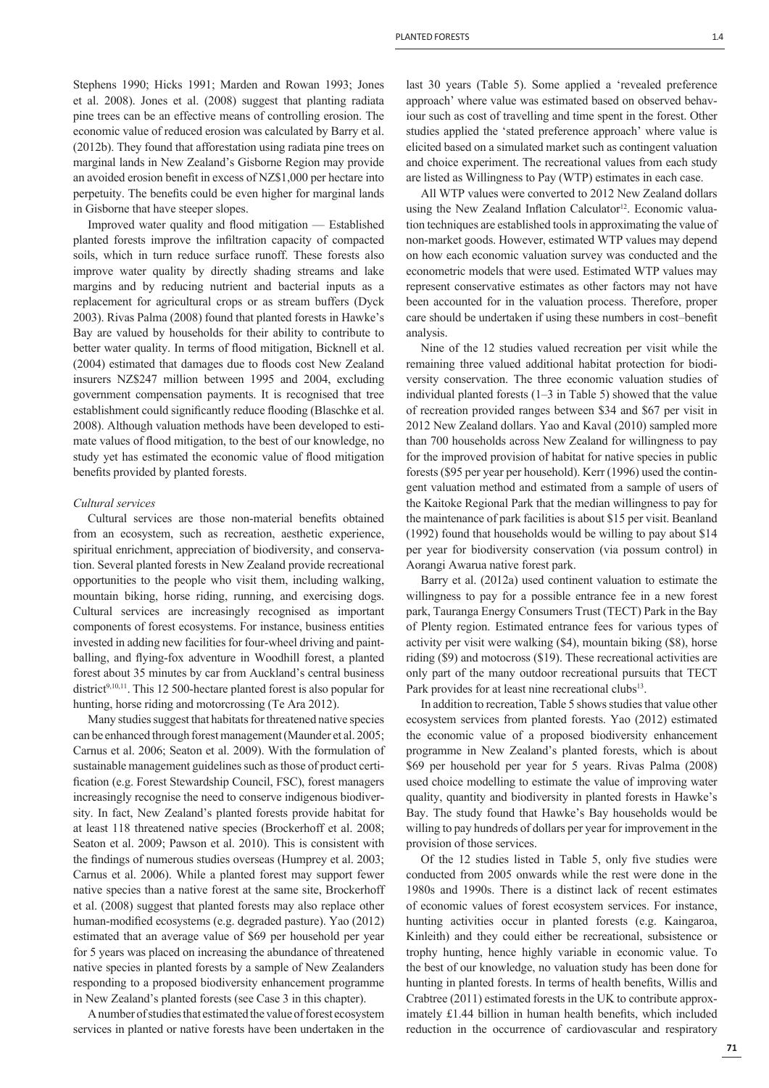Stephens 1990; Hicks 1991; Marden and Rowan 1993; Jones et al. 2008). Jones et al. (2008) suggest that planting radiata pine trees can be an effective means of controlling erosion. The economic value of reduced erosion was calculated by Barry et al. (2012b). They found that afforestation using radiata pine trees on marginal lands in New Zealand's Gisborne Region may provide an avoided erosion benefit in excess of NZ\$1,000 per hectare into perpetuity. The benefits could be even higher for marginal lands in Gisborne that have steeper slopes.

Improved water quality and flood mitigation — Established planted forests improve the infiltration capacity of compacted soils, which in turn reduce surface runoff. These forests also improve water quality by directly shading streams and lake margins and by reducing nutrient and bacterial inputs as a replacement for agricultural crops or as stream buffers (Dyck 2003). Rivas Palma (2008) found that planted forests in Hawke's Bay are valued by households for their ability to contribute to better water quality. In terms of flood mitigation, Bicknell et al. (2004) estimated that damages due to floods cost New Zealand insurers NZ\$247 million between 1995 and 2004, excluding government compensation payments. It is recognised that tree establishment could significantly reduce flooding (Blaschke et al. 2008). Although valuation methods have been developed to estimate values of flood mitigation, to the best of our knowledge, no study yet has estimated the economic value of flood mitigation benefits provided by planted forests.

#### *Cultural services*

Cultural services are those non-material benefits obtained from an ecosystem, such as recreation, aesthetic experience, spiritual enrichment, appreciation of biodiversity, and conservation. Several planted forests in New Zealand provide recreational opportunities to the people who visit them, including walking, mountain biking, horse riding, running, and exercising dogs. Cultural services are increasingly recognised as important components of forest ecosystems. For instance, business entities invested in adding new facilities for four-wheel driving and paintballing, and flying-fox adventure in Woodhill forest, a planted forest about 35 minutes by car from Auckland's central business district<sup>9,10,11</sup>. This 12 500-hectare planted forest is also popular for hunting, horse riding and motorcrossing (Te Ara 2012).

Many studies suggest that habitats for threatened native species can be enhanced through forest management (Maunder et al. 2005; Carnus et al. 2006; Seaton et al. 2009). With the formulation of sustainable management guidelines such as those of product certification (e.g. Forest Stewardship Council, FSC), forest managers increasingly recognise the need to conserve indigenous biodiversity. In fact, New Zealand's planted forests provide habitat for at least 118 threatened native species (Brockerhoff et al. 2008; Seaton et al. 2009; Pawson et al. 2010). This is consistent with the findings of numerous studies overseas (Humprey et al. 2003; Carnus et al. 2006). While a planted forest may support fewer native species than a native forest at the same site, Brockerhoff et al. (2008) suggest that planted forests may also replace other human-modified ecosystems (e.g. degraded pasture). Yao (2012) estimated that an average value of \$69 per household per year for 5 years was placed on increasing the abundance of threatened native species in planted forests by a sample of New Zealanders responding to a proposed biodiversity enhancement programme in New Zealand's planted forests (see Case 3 in this chapter).

A number of studies that estimated the value of forest ecosystem services in planted or native forests have been undertaken in the last 30 years (Table 5). Some applied a 'revealed preference approach' where value was estimated based on observed behaviour such as cost of travelling and time spent in the forest. Other studies applied the 'stated preference approach' where value is elicited based on a simulated market such as contingent valuation and choice experiment. The recreational values from each study are listed as Willingness to Pay (WTP) estimates in each case.

All WTP values were converted to 2012 New Zealand dollars using the New Zealand Inflation Calculator<sup>12</sup>. Economic valuation techniques are established tools in approximating the value of non-market goods. However, estimated WTP values may depend on how each economic valuation survey was conducted and the econometric models that were used. Estimated WTP values may represent conservative estimates as other factors may not have been accounted for in the valuation process. Therefore, proper care should be undertaken if using these numbers in cost-benefit analysis.

Nine of the 12 studies valued recreation per visit while the remaining three valued additional habitat protection for biodiversity conservation. The three economic valuation studies of individual planted forests (1–3 in Table 5) showed that the value of recreation provided ranges between \$34 and \$67 per visit in 2012 New Zealand dollars. Yao and Kaval (2010) sampled more than 700 households across New Zealand for willingness to pay for the improved provision of habitat for native species in public forests (\$95 per year per household). Kerr (1996) used the contingent valuation method and estimated from a sample of users of the Kaitoke Regional Park that the median willingness to pay for the maintenance of park facilities is about \$15 per visit. Beanland (1992) found that households would be willing to pay about \$14 per year for biodiversity conservation (via possum control) in Aorangi Awarua native forest park.

Barry et al. (2012a) used continent valuation to estimate the willingness to pay for a possible entrance fee in a new forest park, Tauranga Energy Consumers Trust (TECT) Park in the Bay of Plenty region. Estimated entrance fees for various types of activity per visit were walking (\$4), mountain biking (\$8), horse riding (\$9) and motocross (\$19). These recreational activities are only part of the many outdoor recreational pursuits that TECT Park provides for at least nine recreational clubs<sup>13</sup>.

In addition to recreation, Table 5 shows studies that value other ecosystem services from planted forests. Yao (2012) estimated the economic value of a proposed biodiversity enhancement programme in New Zealand's planted forests, which is about \$69 per household per year for 5 years. Rivas Palma (2008) used choice modelling to estimate the value of improving water quality, quantity and biodiversity in planted forests in Hawke's Bay. The study found that Hawke's Bay households would be willing to pay hundreds of dollars per year for improvement in the provision of those services.

Of the 12 studies listed in Table 5, only five studies were conducted from 2005 onwards while the rest were done in the 1980s and 1990s. There is a distinct lack of recent estimates of economic values of forest ecosystem services. For instance, hunting activities occur in planted forests (e.g. Kaingaroa, Kinleith) and they could either be recreational, subsistence or trophy hunting, hence highly variable in economic value. To the best of our knowledge, no valuation study has been done for hunting in planted forests. In terms of health benefits, Willis and Crabtree (2011) estimated forests in the UK to contribute approximately  $£1.44$  billion in human health benefits, which included reduction in the occurrence of cardiovascular and respiratory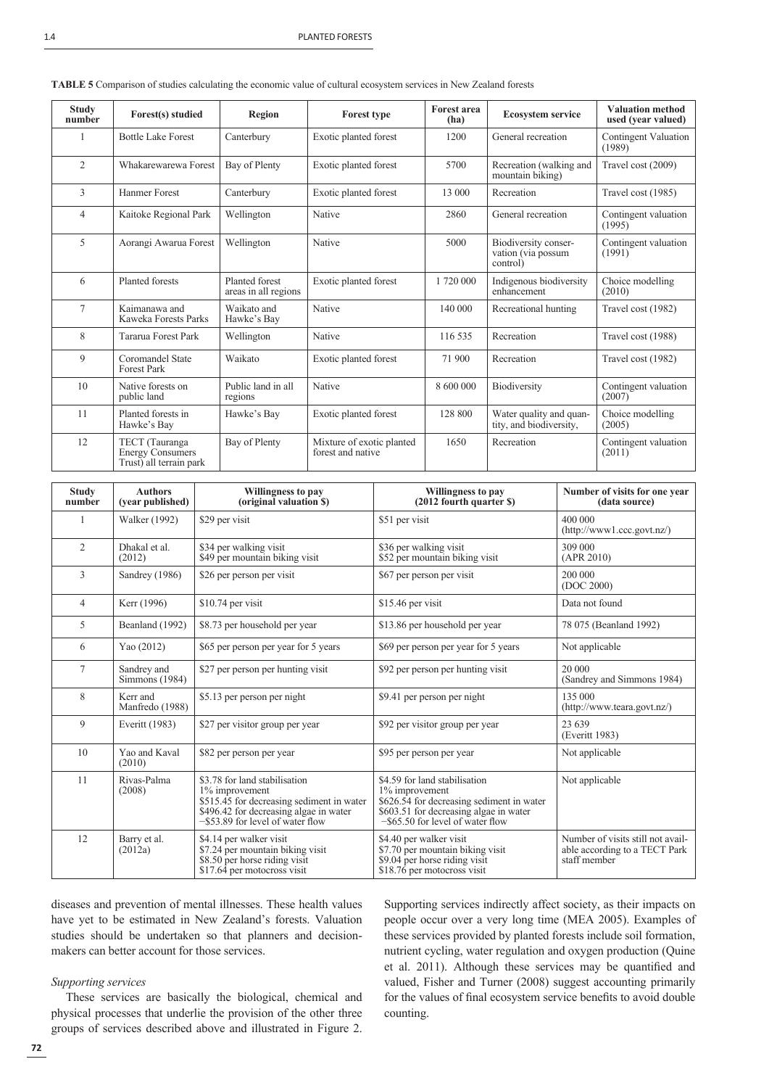| <b>Study</b><br>number | Forest(s) studied                                                    | <b>Region</b>                          | <b>Forest type</b>                             | <b>Forest area</b><br>(ha) | <b>Ecosystem service</b>                               | <b>Valuation method</b><br>used (year valued) |
|------------------------|----------------------------------------------------------------------|----------------------------------------|------------------------------------------------|----------------------------|--------------------------------------------------------|-----------------------------------------------|
|                        | <b>Bottle Lake Forest</b>                                            | Canterbury                             | Exotic planted forest                          | 1200                       | General recreation                                     | <b>Contingent Valuation</b><br>(1989)         |
| $\overline{2}$         | Whakarewarewa Forest                                                 | Bay of Plenty                          | Exotic planted forest                          | 5700                       | Recreation (walking and<br>mountain biking)            | Travel cost (2009)                            |
| 3                      | Hanmer Forest                                                        | Canterbury                             | Exotic planted forest                          | 13 000                     | Recreation                                             | Travel cost (1985)                            |
| $\overline{4}$         | Kaitoke Regional Park                                                | Wellington                             | Native                                         | 2860                       | General recreation                                     | Contingent valuation<br>(1995)                |
| 5                      | Aorangi Awarua Forest                                                | Wellington                             | Native                                         | 5000                       | Biodiversity conser-<br>vation (via possum<br>control) | Contingent valuation<br>(1991)                |
| 6                      | Planted forests                                                      | Planted forest<br>areas in all regions | Exotic planted forest                          | 1 720 000                  | Indigenous biodiversity<br>enhancement                 | Choice modelling<br>(2010)                    |
| $\tau$                 | Kaimanawa and<br>Kaweka Forests Parks                                | Waikato and<br>Hawke's Bay             | Native                                         | 140 000                    | Recreational hunting                                   | Travel cost (1982)                            |
| 8                      | Tararua Forest Park                                                  | Wellington                             | Native                                         | 116 535                    | Recreation                                             | Travel cost (1988)                            |
| 9                      | Coromandel State<br><b>Forest Park</b>                               | Waikato                                | Exotic planted forest                          | 71 900                     | Recreation                                             | Travel cost (1982)                            |
| 10                     | Native forests on<br>public land                                     | Public land in all<br>regions          | Native                                         | 8 600 000                  | Biodiversity                                           | Contingent valuation<br>(2007)                |
| 11                     | Planted forests in<br>Hawke's Bay                                    | Hawke's Bay                            | Exotic planted forest                          | 128 800                    | Water quality and quan-<br>tity, and biodiversity,     | Choice modelling<br>(2005)                    |
| 12                     | TECT (Tauranga<br><b>Energy Consumers</b><br>Trust) all terrain park | Bay of Plenty                          | Mixture of exotic planted<br>forest and native | 1650                       | Recreation                                             | Contingent valuation<br>(2011)                |

**TABLE 5** Comparison of studies calculating the economic value of cultural ecosystem services in New Zealand forests

| <b>Study</b><br>number   | <b>Authors</b><br>(year published) | Willingness to pay<br>(original valuation \$)                                                                                                                                 | Willingness to pay<br>(2012 fourth quarter \$)                                                                                                                                | Number of visits for one year<br>(data source)                                     |
|--------------------------|------------------------------------|-------------------------------------------------------------------------------------------------------------------------------------------------------------------------------|-------------------------------------------------------------------------------------------------------------------------------------------------------------------------------|------------------------------------------------------------------------------------|
| 1                        | <b>Walker</b> (1992)               | \$29 per visit                                                                                                                                                                | \$51 per visit                                                                                                                                                                | 400 000<br>(http://www1.ccc.govt.nz/)                                              |
| $\overline{2}$           | Dhakal et al.<br>(2012)            | \$34 per walking visit<br>\$36 per walking visit<br>\$52 per mountain biking visit<br>\$49 per mountain biking visit                                                          |                                                                                                                                                                               | 309 000<br>(APR 2010)                                                              |
| 3                        | Sandrey (1986)                     | \$67 per person per visit<br>\$26 per person per visit                                                                                                                        |                                                                                                                                                                               | 200 000<br>(DOC 2000)                                                              |
| $\overline{\mathcal{L}}$ | Kerr (1996)                        | \$10.74 per visit                                                                                                                                                             | \$15.46 per visit                                                                                                                                                             | Data not found                                                                     |
| 5                        | Beanland (1992)                    | \$8.73 per household per year                                                                                                                                                 | \$13.86 per household per year                                                                                                                                                | 78 075 (Beanland 1992)                                                             |
| 6                        | Yao (2012)                         | \$65 per person per year for 5 years                                                                                                                                          | \$69 per person per year for 5 years                                                                                                                                          | Not applicable                                                                     |
| 7                        | Sandrey and<br>Simmons (1984)      | \$27 per person per hunting visit                                                                                                                                             | \$92 per person per hunting visit                                                                                                                                             | 20 000<br>(Sandrey and Simmons 1984)                                               |
| 8                        | Kerr and<br>Manfredo (1988)        | \$5.13 per person per night                                                                                                                                                   | \$9.41 per person per night                                                                                                                                                   | 135 000<br>(http://www.teara.govt.nz/)                                             |
| 9                        | Everitt (1983)                     | \$27 per visitor group per year                                                                                                                                               | \$92 per visitor group per year                                                                                                                                               | 23 639<br>(Everitt 1983)                                                           |
| 10                       | Yao and Kaval<br>(2010)            | \$82 per person per year                                                                                                                                                      | \$95 per person per year                                                                                                                                                      | Not applicable                                                                     |
| 11                       | Rivas-Palma<br>(2008)              | \$3.78 for land stabilisation<br>1% improvement<br>\$515.45 for decreasing sediment in water<br>\$496.42 for decreasing algae in water<br>$-$ \$53.89 for level of water flow | \$4.59 for land stabilisation<br>1% improvement<br>\$626.54 for decreasing sediment in water<br>\$603.51 for decreasing algae in water<br>$-$ \$65.50 for level of water flow | Not applicable                                                                     |
| 12                       | Barry et al.<br>(2012a)            | \$4.14 per walker visit<br>\$7.24 per mountain biking visit<br>\$8.50 per horse riding visit<br>\$17.64 per motocross visit                                                   | \$4.40 per walker visit<br>\$7.70 per mountain biking visit<br>\$9.04 per horse riding visit<br>$$18.76$ per motocross visit                                                  | Number of visits still not avail-<br>able according to a TECT Park<br>staff member |

diseases and prevention of mental illnesses. These health values have yet to be estimated in New Zealand's forests. Valuation studies should be undertaken so that planners and decisionmakers can better account for those services.

# *Supporting services*

These services are basically the biological, chemical and physical processes that underlie the provision of the other three groups of services described above and illustrated in Figure 2.

Supporting services indirectly affect society, as their impacts on people occur over a very long time (MEA 2005). Examples of these services provided by planted forests include soil formation, nutrient cycling, water regulation and oxygen production (Quine et al. 2011). Although these services may be quantified and valued, Fisher and Turner (2008) suggest accounting primarily for the values of final ecosystem service benefits to avoid double counting.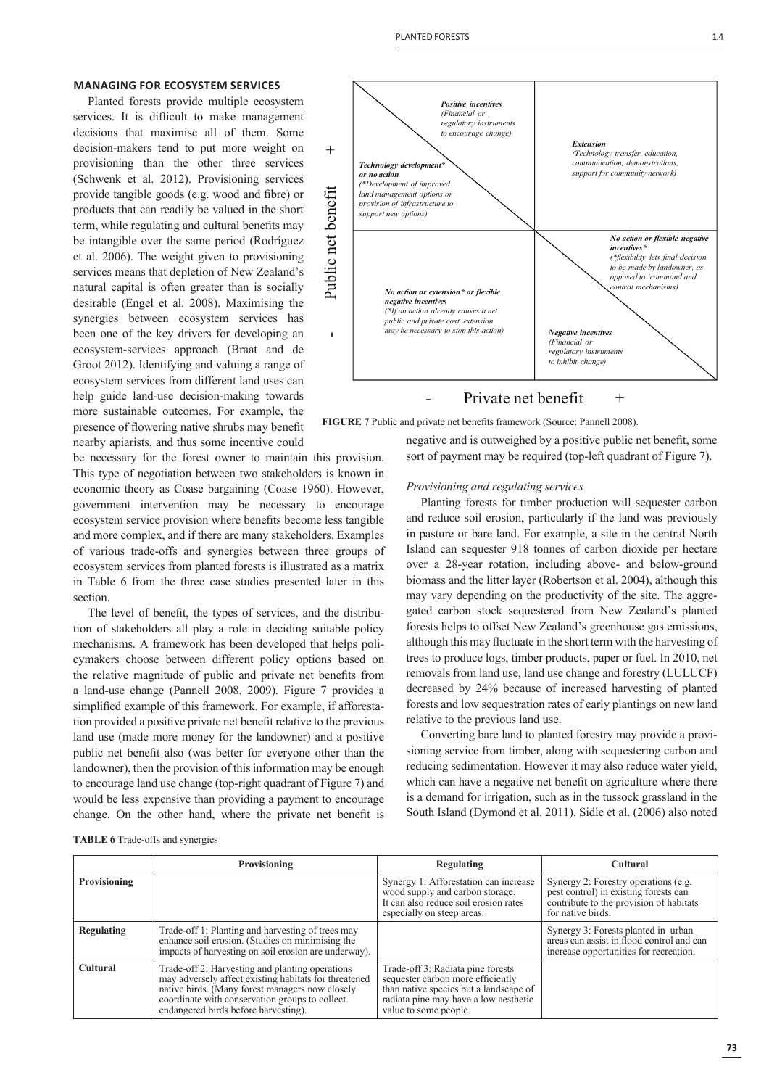#### **MANAGING FOR ECOSYSTEM SERVICES**

Planted forests provide multiple ecosystem services. It is difficult to make management decisions that maximise all of them. Some decision-makers tend to put more weight on provisioning than the other three services (Schwenk et al. 2012). Provisioning services provide tangible goods (e.g. wood and fibre) or products that can readily be valued in the short term, while regulating and cultural benefits may be intangible over the same period (Rodríguez et al. 2006). The weight given to provisioning services means that depletion of New Zealand's natural capital is often greater than is socially desirable (Engel et al. 2008). Maximising the synergies between ecosystem services has been one of the key drivers for developing an ecosystem-services approach (Braat and de Groot 2012). Identifying and valuing a range of ecosystem services from different land uses can help guide land-use decision-making towards more sustainable outcomes. For example, the presence of flowering native shrubs may benefit nearby apiarists, and thus some incentive could



## Private net benefit  $+$

**FIGURE 7** Public and private net benefits framework (Source: Pannell 2008).

be necessary for the forest owner to maintain this provision. This type of negotiation between two stakeholders is known in economic theory as Coase bargaining (Coase 1960). However, government intervention may be necessary to encourage ecosystem service provision where benefits become less tangible and more complex, and if there are many stakeholders. Examples of various trade-offs and synergies between three groups of ecosystem services from planted forests is illustrated as a matrix in Table 6 from the three case studies presented later in this section.

The level of benefit, the types of services, and the distribution of stakeholders all play a role in deciding suitable policy mechanisms. A framework has been developed that helps policymakers choose between different policy options based on the relative magnitude of public and private net benefits from a land-use change (Pannell 2008, 2009). Figure 7 provides a simplified example of this framework. For example, if afforestation provided a positive private net benefit relative to the previous land use (made more money for the landowner) and a positive public net benefit also (was better for everyone other than the landowner), then the provision of this information may be enough to encourage land use change (top-right quadrant of Figure 7) and would be less expensive than providing a payment to encourage change. On the other hand, where the private net benefit is

negative and is outweighed by a positive public net benefit, some sort of payment may be required (top-left quadrant of Figure 7).

#### *Provisioning and regulating services*

Planting forests for timber production will sequester carbon and reduce soil erosion, particularly if the land was previously in pasture or bare land. For example, a site in the central North Island can sequester 918 tonnes of carbon dioxide per hectare over a 28-year rotation, including above- and below-ground biomass and the litter layer (Robertson et al. 2004), although this may vary depending on the productivity of the site. The aggregated carbon stock sequestered from New Zealand's planted forests helps to offset New Zealand's greenhouse gas emissions, although this may fluctuate in the short term with the harvesting of trees to produce logs, timber products, paper or fuel. In 2010, net removals from land use, land use change and forestry (LULUCF) decreased by 24% because of increased harvesting of planted forests and low sequestration rates of early plantings on new land relative to the previous land use.

Converting bare land to planted forestry may provide a provisioning service from timber, along with sequestering carbon and reducing sedimentation. However it may also reduce water yield, which can have a negative net benefit on agriculture where there is a demand for irrigation, such as in the tussock grassland in the South Island (Dymond et al. 2011). Sidle et al. (2006) also noted

**TABLE 6** Trade-offs and synergies

|                   | Provisioning                                                                                                                                                                                                                                          | Regulating                                                                                                                                                                         | <b>Cultural</b>                                                                                                                               |
|-------------------|-------------------------------------------------------------------------------------------------------------------------------------------------------------------------------------------------------------------------------------------------------|------------------------------------------------------------------------------------------------------------------------------------------------------------------------------------|-----------------------------------------------------------------------------------------------------------------------------------------------|
| Provisioning      |                                                                                                                                                                                                                                                       | Synergy 1: Afforestation can increase<br>wood supply and carbon storage.<br>It can also reduce soil erosion rates<br>especially on steep areas.                                    | Synergy 2: Forestry operations (e.g.<br>pest control) in existing forests can<br>contribute to the provision of habitats<br>for native birds. |
| <b>Regulating</b> | Trade-off 1: Planting and harvesting of trees may<br>enhance soil erosion. (Studies on minimising the<br>impacts of harvesting on soil erosion are underway).                                                                                         |                                                                                                                                                                                    | Synergy 3: Forests planted in urban<br>areas can assist in flood control and can<br>increase opportunities for recreation.                    |
| <b>Cultural</b>   | Trade-off 2: Harvesting and planting operations<br>may adversely affect existing habitats for threatened<br>native birds. (Many forest managers now closely<br>coordinate with conservation groups to collect<br>endangered birds before harvesting). | Trade-off 3: Radiata pine forests<br>sequester carbon more efficiently<br>than native species but a landscape of<br>radiata pine may have a low aesthetic<br>value to some people. |                                                                                                                                               |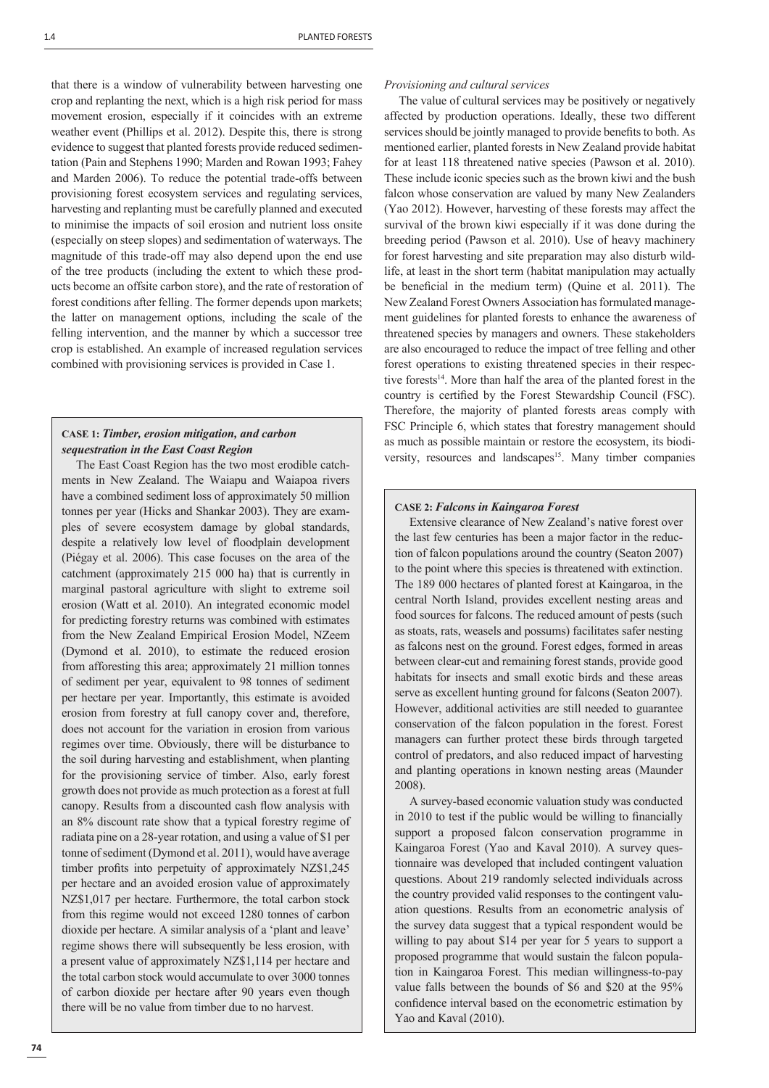that there is a window of vulnerability between harvesting one crop and replanting the next, which is a high risk period for mass movement erosion, especially if it coincides with an extreme weather event (Phillips et al. 2012). Despite this, there is strong evidence to suggest that planted forests provide reduced sedimentation (Pain and Stephens 1990; Marden and Rowan 1993; Fahey and Marden 2006). To reduce the potential trade-offs between provisioning forest ecosystem services and regulating services, harvesting and replanting must be carefully planned and executed to minimise the impacts of soil erosion and nutrient loss onsite (especially on steep slopes) and sedimentation of waterways. The magnitude of this trade-off may also depend upon the end use of the tree products (including the extent to which these products become an offsite carbon store), and the rate of restoration of forest conditions after felling. The former depends upon markets; the latter on management options, including the scale of the felling intervention, and the manner by which a successor tree crop is established. An example of increased regulation services combined with provisioning services is provided in Case 1.

# **CASE 1:** *Timber, erosion mitigation, and carbon sequestration in the East Coast Region*

The East Coast Region has the two most erodible catchments in New Zealand. The Waiapu and Waiapoa rivers have a combined sediment loss of approximately 50 million tonnes per year (Hicks and Shankar 2003). They are examples of severe ecosystem damage by global standards, despite a relatively low level of floodplain development (Piégay et al. 2006). This case focuses on the area of the catchment (approximately 215 000 ha) that is currently in marginal pastoral agriculture with slight to extreme soil erosion (Watt et al. 2010). An integrated economic model for predicting forestry returns was combined with estimates from the New Zealand Empirical Erosion Model, NZeem (Dymond et al. 2010), to estimate the reduced erosion from afforesting this area; approximately 21 million tonnes of sediment per year, equivalent to 98 tonnes of sediment per hectare per year. Importantly, this estimate is avoided erosion from forestry at full canopy cover and, therefore, does not account for the variation in erosion from various regimes over time. Obviously, there will be disturbance to the soil during harvesting and establishment, when planting for the provisioning service of timber. Also, early forest growth does not provide as much protection as a forest at full canopy. Results from a discounted cash flow analysis with an 8% discount rate show that a typical forestry regime of radiata pine on a 28-year rotation, and using a value of \$1 per tonne of sediment (Dymond et al. 2011), would have average timber profits into perpetuity of approximately NZ\$1,245 per hectare and an avoided erosion value of approximately NZ\$1,017 per hectare. Furthermore, the total carbon stock from this regime would not exceed 1280 tonnes of carbon dioxide per hectare. A similar analysis of a 'plant and leave' regime shows there will subsequently be less erosion, with a present value of approximately NZ\$1,114 per hectare and the total carbon stock would accumulate to over 3000 tonnes of carbon dioxide per hectare after 90 years even though there will be no value from timber due to no harvest.

#### *Provisioning and cultural services*

The value of cultural services may be positively or negatively affected by production operations. Ideally, these two different services should be jointly managed to provide benefits to both. As mentioned earlier, planted forests in New Zealand provide habitat for at least 118 threatened native species (Pawson et al. 2010). These include iconic species such as the brown kiwi and the bush falcon whose conservation are valued by many New Zealanders (Yao 2012). However, harvesting of these forests may affect the survival of the brown kiwi especially if it was done during the breeding period (Pawson et al. 2010). Use of heavy machinery for forest harvesting and site preparation may also disturb wildlife, at least in the short term (habitat manipulation may actually be beneficial in the medium term) (Quine et al. 2011). The New Zealand Forest Owners Association has formulated management guidelines for planted forests to enhance the awareness of threatened species by managers and owners. These stakeholders are also encouraged to reduce the impact of tree felling and other forest operations to existing threatened species in their respective forests<sup>14</sup>. More than half the area of the planted forest in the country is certified by the Forest Stewardship Council (FSC). Therefore, the majority of planted forests areas comply with FSC Principle 6, which states that forestry management should as much as possible maintain or restore the ecosystem, its biodiversity, resources and landscapes<sup>15</sup>. Many timber companies

#### **CASE 2:** *Falcons in Kaingaroa Forest*

Extensive clearance of New Zealand's native forest over the last few centuries has been a major factor in the reduction of falcon populations around the country (Seaton 2007) to the point where this species is threatened with extinction. The 189 000 hectares of planted forest at Kaingaroa, in the central North Island, provides excellent nesting areas and food sources for falcons. The reduced amount of pests (such as stoats, rats, weasels and possums) facilitates safer nesting as falcons nest on the ground. Forest edges, formed in areas between clear-cut and remaining forest stands, provide good habitats for insects and small exotic birds and these areas serve as excellent hunting ground for falcons (Seaton 2007). However, additional activities are still needed to guarantee conservation of the falcon population in the forest. Forest managers can further protect these birds through targeted control of predators, and also reduced impact of harvesting and planting operations in known nesting areas (Maunder 2008).

A survey-based economic valuation study was conducted in 2010 to test if the public would be willing to financially support a proposed falcon conservation programme in Kaingaroa Forest (Yao and Kaval 2010). A survey questionnaire was developed that included contingent valuation questions. About 219 randomly selected individuals across the country provided valid responses to the contingent valuation questions. Results from an econometric analysis of the survey data suggest that a typical respondent would be willing to pay about \$14 per year for 5 years to support a proposed programme that would sustain the falcon population in Kaingaroa Forest. This median willingness-to-pay value falls between the bounds of \$6 and \$20 at the 95% confidence interval based on the econometric estimation by Yao and Kaval (2010).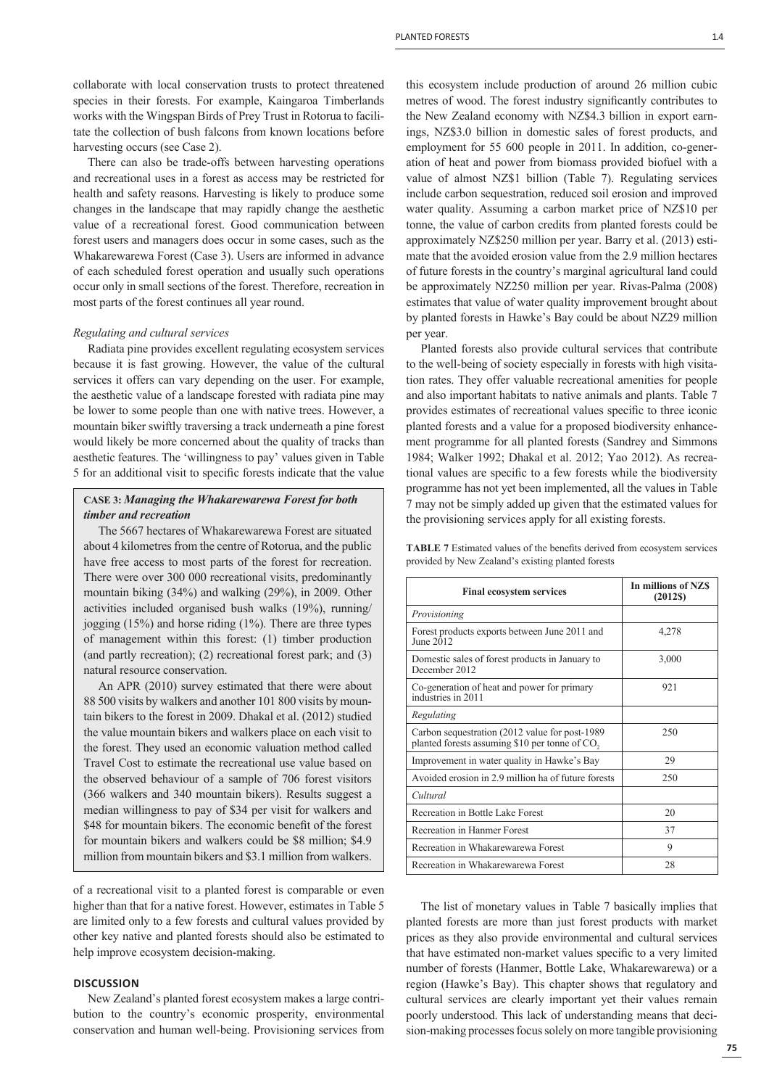collaborate with local conservation trusts to protect threatened species in their forests. For example, Kaingaroa Timberlands works with the Wingspan Birds of Prey Trust in Rotorua to facilitate the collection of bush falcons from known locations before harvesting occurs (see Case 2).

There can also be trade-offs between harvesting operations and recreational uses in a forest as access may be restricted for health and safety reasons. Harvesting is likely to produce some changes in the landscape that may rapidly change the aesthetic value of a recreational forest. Good communication between forest users and managers does occur in some cases, such as the Whakarewarewa Forest (Case 3). Users are informed in advance of each scheduled forest operation and usually such operations occur only in small sections of the forest. Therefore, recreation in most parts of the forest continues all year round.

# *Regulating and cultural services*

Radiata pine provides excellent regulating ecosystem services because it is fast growing. However, the value of the cultural services it offers can vary depending on the user. For example, the aesthetic value of a landscape forested with radiata pine may be lower to some people than one with native trees. However, a mountain biker swiftly traversing a track underneath a pine forest would likely be more concerned about the quality of tracks than aesthetic features. The 'willingness to pay' values given in Table 5 for an additional visit to specific forests indicate that the value

# **CASE 3:** *Managing the Whakarewarewa Forest for both timber and recreation*

The 5667 hectares of Whakarewarewa Forest are situated about 4 kilometres from the centre of Rotorua, and the public have free access to most parts of the forest for recreation. There were over 300 000 recreational visits, predominantly mountain biking (34%) and walking (29%), in 2009. Other activities included organised bush walks (19%), running/ jogging (15%) and horse riding (1%). There are three types of management within this forest: (1) timber production (and partly recreation); (2) recreational forest park; and (3) natural resource conservation.

An APR (2010) survey estimated that there were about 88 500 visits by walkers and another 101 800 visits by mountain bikers to the forest in 2009. Dhakal et al. (2012) studied the value mountain bikers and walkers place on each visit to the forest. They used an economic valuation method called Travel Cost to estimate the recreational use value based on the observed behaviour of a sample of 706 forest visitors (366 walkers and 340 mountain bikers). Results suggest a median willingness to pay of \$34 per visit for walkers and \$48 for mountain bikers. The economic benefit of the forest for mountain bikers and walkers could be \$8 million; \$4.9 million from mountain bikers and \$3.1 million from walkers.

of a recreational visit to a planted forest is comparable or even higher than that for a native forest. However, estimates in Table 5 are limited only to a few forests and cultural values provided by other key native and planted forests should also be estimated to help improve ecosystem decision-making.

# **DISCUSSION**

New Zealand's planted forest ecosystem makes a large contribution to the country's economic prosperity, environmental conservation and human well-being. Provisioning services from this ecosystem include production of around 26 million cubic metres of wood. The forest industry significantly contributes to the New Zealand economy with NZ\$4.3 billion in export earnings, NZ\$3.0 billion in domestic sales of forest products, and employment for 55 600 people in 2011. In addition, co-generation of heat and power from biomass provided biofuel with a value of almost NZ\$1 billion (Table 7). Regulating services include carbon sequestration, reduced soil erosion and improved water quality. Assuming a carbon market price of NZ\$10 per tonne, the value of carbon credits from planted forests could be approximately NZ\$250 million per year. Barry et al. (2013) estimate that the avoided erosion value from the 2.9 million hectares of future forests in the country's marginal agricultural land could be approximately NZ250 million per year. Rivas-Palma (2008) estimates that value of water quality improvement brought about by planted forests in Hawke's Bay could be about NZ29 million per year.

Planted forests also provide cultural services that contribute to the well-being of society especially in forests with high visitation rates. They offer valuable recreational amenities for people and also important habitats to native animals and plants. Table 7 provides estimates of recreational values specific to three iconic planted forests and a value for a proposed biodiversity enhancement programme for all planted forests (Sandrey and Simmons 1984; Walker 1992; Dhakal et al. 2012; Yao 2012). As recreational values are specific to a few forests while the biodiversity programme has not yet been implemented, all the values in Table 7 may not be simply added up given that the estimated values for the provisioning services apply for all existing forests.

|                                                    |  |  | <b>TABLE 7</b> Estimated values of the benefits derived from ecosystem services |  |
|----------------------------------------------------|--|--|---------------------------------------------------------------------------------|--|
| provided by New Zealand's existing planted forests |  |  |                                                                                 |  |

| <b>Final ecosystem services</b>                                                                               | In millions of NZS<br>(2012S) |
|---------------------------------------------------------------------------------------------------------------|-------------------------------|
| Provisioning                                                                                                  |                               |
| Forest products exports between June 2011 and<br>June $2012$                                                  | 4,278                         |
| Domestic sales of forest products in January to<br>December 2012                                              | 3,000                         |
| Co-generation of heat and power for primary<br>industries in 2011                                             | 921                           |
| Regulating                                                                                                    |                               |
| Carbon sequestration (2012 value for post-1989)<br>planted forests assuming \$10 per tonne of CO <sub>2</sub> | 250                           |
| Improvement in water quality in Hawke's Bay                                                                   | 29                            |
| Avoided erosion in 2.9 million ha of future forests                                                           | 250                           |
| Cultural                                                                                                      |                               |
| Recreation in Bottle Lake Forest                                                                              | 20                            |
| Recreation in Hanmer Forest                                                                                   | 37                            |
| Recreation in Whakarewarewa Forest                                                                            | 9                             |
| Recreation in Whakarewarewa Forest                                                                            | 28                            |

The list of monetary values in Table 7 basically implies that planted forests are more than just forest products with market prices as they also provide environmental and cultural services that have estimated non-market values specific to a very limited number of forests (Hanmer, Bottle Lake, Whakarewarewa) or a region (Hawke's Bay). This chapter shows that regulatory and cultural services are clearly important yet their values remain poorly understood. This lack of understanding means that decision-making processes focus solely on more tangible provisioning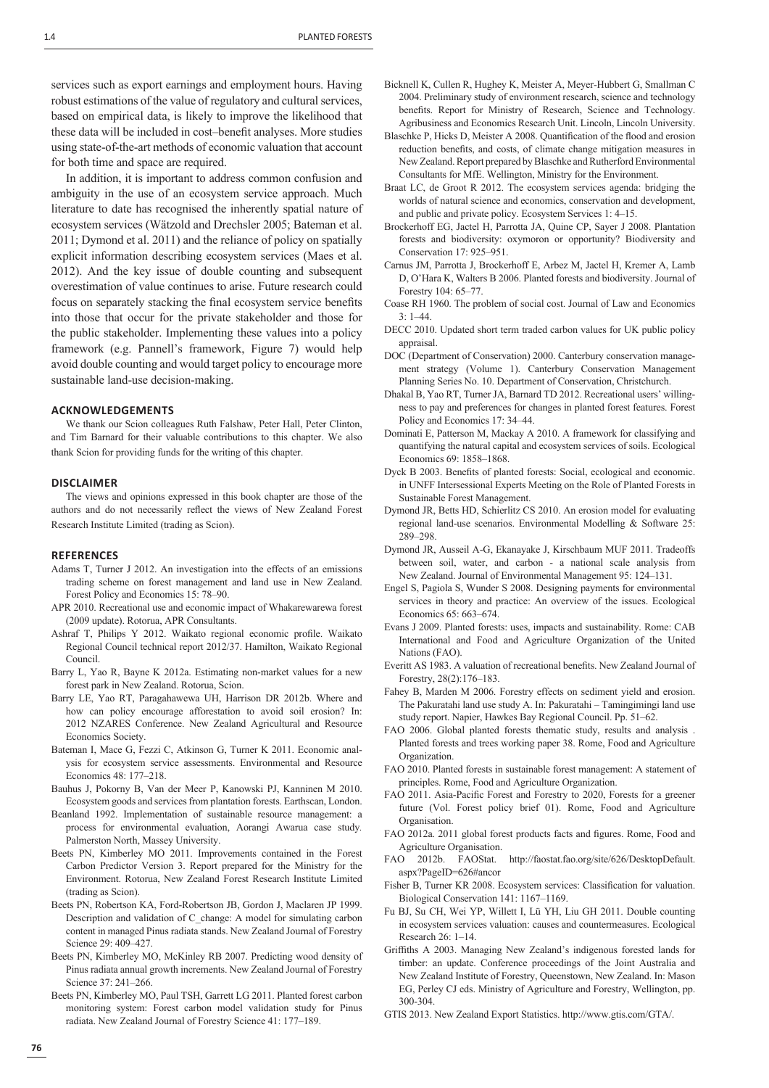services such as export earnings and employment hours. Having robust estimations of the value of regulatory and cultural services, based on empirical data, is likely to improve the likelihood that these data will be included in cost-benefit analyses. More studies using state-of-the-art methods of economic valuation that account for both time and space are required.

In addition, it is important to address common confusion and ambiguity in the use of an ecosystem service approach. Much literature to date has recognised the inherently spatial nature of ecosystem services (Wätzold and Drechsler 2005; Bateman et al. 2011; Dymond et al. 2011) and the reliance of policy on spatially explicit information describing ecosystem services (Maes et al. 2012). And the key issue of double counting and subsequent overestimation of value continues to arise. Future research could focus on separately stacking the final ecosystem service benefits into those that occur for the private stakeholder and those for the public stakeholder. Implementing these values into a policy framework (e.g. Pannell's framework, Figure 7) would help avoid double counting and would target policy to encourage more sustainable land-use decision-making.

#### **ACKNOWLEDGEMENTS**

We thank our Scion colleagues Ruth Falshaw, Peter Hall, Peter Clinton, and Tim Barnard for their valuable contributions to this chapter. We also thank Scion for providing funds for the writing of this chapter.

#### **DISCLAIMER**

The views and opinions expressed in this book chapter are those of the authors and do not necessarily reflect the views of New Zealand Forest Research Institute Limited (trading as Scion).

#### **REFERENCES**

- Adams T, Turner J 2012. An investigation into the effects of an emissions trading scheme on forest management and land use in New Zealand. Forest Policy and Economics 15: 78–90.
- APR 2010. Recreational use and economic impact of Whakarewarewa forest (2009 update). Rotorua, APR Consultants.
- Ashraf T, Philips Y 2012. Waikato regional economic profile. Waikato Regional Council technical report 2012/37. Hamilton, Waikato Regional Council.
- Barry L, Yao R, Bayne K 2012a. Estimating non-market values for a new forest park in New Zealand. Rotorua, Scion.
- Barry LE, Yao RT, Paragahawewa UH, Harrison DR 2012b. Where and how can policy encourage afforestation to avoid soil erosion? In: 2012 NZARES Conference. New Zealand Agricultural and Resource Economics Society.
- Bateman I, Mace G, Fezzi C, Atkinson G, Turner K 2011. Economic analysis for ecosystem service assessments. Environmental and Resource Economics 48: 177–218.
- Bauhus J, Pokorny B, Van der Meer P, Kanowski PJ, Kanninen M 2010. Ecosystem goods and services from plantation forests. Earthscan, London.
- Beanland 1992. Implementation of sustainable resource management: a process for environmental evaluation, Aorangi Awarua case study*.* Palmerston North, Massey University.
- Beets PN, Kimberley MO 2011. Improvements contained in the Forest Carbon Predictor Version 3. Report prepared for the Ministry for the Environment. Rotorua, New Zealand Forest Research Institute Limited (trading as Scion).
- Beets PN, Robertson KA, Ford-Robertson JB, Gordon J, Maclaren JP 1999. Description and validation of C\_change: A model for simulating carbon content in managed Pinus radiata stands. New Zealand Journal of Forestry Science 29: 409–427.
- Beets PN, Kimberley MO, McKinley RB 2007. Predicting wood density of Pinus radiata annual growth increments. New Zealand Journal of Forestry Science 37: 241–266.
- Beets PN, Kimberley MO, Paul TSH, Garrett LG 2011. Planted forest carbon monitoring system: Forest carbon model validation study for Pinus radiata. New Zealand Journal of Forestry Science 41: 177–189.
- Bicknell K, Cullen R, Hughey K, Meister A, Meyer-Hubbert G, Smallman C 2004. Preliminary study of environment research, science and technology benefits. Report for Ministry of Research, Science and Technology. Agribusiness and Economics Research Unit. Lincoln, Lincoln University.
- Blaschke P, Hicks D, Meister A 2008. Quantification of the flood and erosion reduction benefits, and costs, of climate change mitigation measures in New Zealand. Report prepared by Blaschke and Rutherford Environmental Consultants for MfE. Wellington, Ministry for the Environment.
- Braat LC, de Groot R 2012. The ecosystem services agenda: bridging the worlds of natural science and economics, conservation and development, and public and private policy. Ecosystem Services 1: 4–15.
- Brockerhoff EG, Jactel H, Parrotta JA, Quine CP, Sayer J 2008. Plantation forests and biodiversity: oxymoron or opportunity? Biodiversity and Conservation 17: 925–951.
- Carnus JM, Parrotta J, Brockerhoff E, Arbez M, Jactel H, Kremer A, Lamb D, O'Hara K, Walters B 2006. Planted forests and biodiversity. Journal of Forestry 104: 65–77.
- Coase RH 1960. The problem of social cost. Journal of Law and Economics  $3 \cdot 1 - 44$
- DECC 2010. Updated short term traded carbon values for UK public policy appraisal.
- DOC (Department of Conservation) 2000. Canterbury conservation management strategy (Volume 1). Canterbury Conservation Management Planning Series No. 10. Department of Conservation, Christchurch.
- Dhakal B, Yao RT, Turner JA, Barnard TD 2012. Recreational users' willingness to pay and preferences for changes in planted forest features. Forest Policy and Economics 17: 34–44.
- Dominati E, Patterson M, Mackay A 2010. A framework for classifying and quantifying the natural capital and ecosystem services of soils. Ecological Economics 69: 1858–1868.
- Dyck B 2003. Benefits of planted forests: Social, ecological and economic. in UNFF Intersessional Experts Meeting on the Role of Planted Forests in Sustainable Forest Management.
- Dymond JR, Betts HD, Schierlitz CS 2010. An erosion model for evaluating regional land-use scenarios. Environmental Modelling & Software 25: 289–298.
- Dymond JR, Ausseil A-G, Ekanayake J, Kirschbaum MUF 2011. Tradeoffs between soil, water, and carbon - a national scale analysis from New Zealand. Journal of Environmental Management 95: 124–131.
- Engel S, Pagiola S, Wunder S 2008. Designing payments for environmental services in theory and practice: An overview of the issues. Ecological Economics 65: 663–674.
- Evans J 2009. Planted forests: uses, impacts and sustainability. Rome: CAB International and Food and Agriculture Organization of the United Nations (FAO).
- Everitt AS 1983. A valuation of recreational benefits. New Zealand Journal of Forestry, 28(2):176–183.
- Fahey B, Marden M 2006. Forestry effects on sediment yield and erosion. The Pakuratahi land use study A. In: Pakuratahi – Tamingimingi land use study report. Napier, Hawkes Bay Regional Council. Pp. 51–62.
- FAO 2006. Global planted forests thematic study, results and analysis . Planted forests and trees working paper 38. Rome, Food and Agriculture Organization.
- FAO 2010. Planted forests in sustainable forest management: A statement of principles. Rome, Food and Agriculture Organization.
- FAO 2011. Asia-Pacific Forest and Forestry to 2020, Forests for a greener future (Vol. Forest policy brief 01). Rome, Food and Agriculture Organisation.
- FAO 2012a. 2011 global forest products facts and figures. Rome, Food and Agriculture Organisation.
- FAO 2012b. FAOStat. http://faostat.fao.org/site/626/DesktopDefault. aspx?PageID=626#ancor
- Fisher B, Turner KR 2008. Ecosystem services: Classification for valuation. Biological Conservation 141: 1167–1169.
- Fu BJ, Su CH, Wei YP, Willett I, Lü YH, Liu GH 2011. Double counting in ecosystem services valuation: causes and countermeasures. Ecological Research 26: 1–14.
- Griffiths A 2003. Managing New Zealand's indigenous forested lands for timber: an update. Conference proceedings of the Joint Australia and New Zealand Institute of Forestry, Queenstown, New Zealand. In: Mason EG, Perley CJ eds. Ministry of Agriculture and Forestry, Wellington, pp. 300-304.
- GTIS 2013. New Zealand Export Statistics. http://www.gtis.com/GTA/.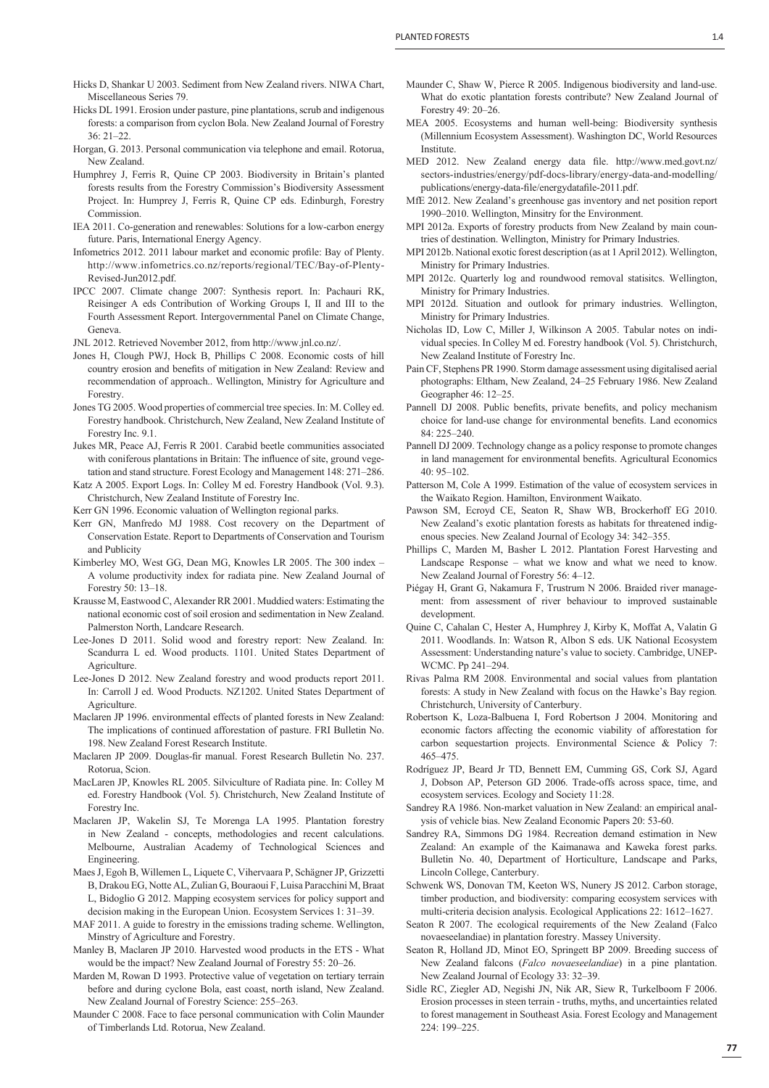- Hicks D, Shankar U 2003. Sediment from New Zealand rivers. NIWA Chart, Miscellaneous Series 79.
- Hicks DL 1991. Erosion under pasture, pine plantations, scrub and indigenous forests: a comparison from cyclon Bola. New Zealand Journal of Forestry 36: 21–22.
- Horgan, G. 2013. Personal communication via telephone and email. Rotorua, New Zealand.
- Humphrey J, Ferris R, Quine CP 2003. Biodiversity in Britain's planted forests results from the Forestry Commission's Biodiversity Assessment Project. In: Humprey J, Ferris R, Quine CP eds. Edinburgh, Forestry Commission.
- IEA 2011. Co-generation and renewables: Solutions for a low-carbon energy future. Paris, International Energy Agency.
- Infometrics 2012. 2011 labour market and economic profile: Bay of Plenty. http://www.infometrics.co.nz/reports/regional/TEC/Bay-of-Plenty-Revised-Jun2012.pdf.
- IPCC 2007. Climate change 2007: Synthesis report. In: Pachauri RK, Reisinger A eds Contribution of Working Groups I, II and III to the Fourth Assessment Report. Intergovernmental Panel on Climate Change, Geneva.
- JNL 2012. Retrieved November 2012, from http://www.jnl.co.nz/.
- Jones H, Clough PWJ, Hock B, Phillips C 2008. Economic costs of hill country erosion and benefits of mitigation in New Zealand: Review and recommendation of approach.. Wellington, Ministry for Agriculture and Forestry.
- Jones TG 2005. Wood properties of commercial tree species. In: M. Colley ed. Forestry handbook. Christchurch, New Zealand, New Zealand Institute of Forestry Inc. 9.1.
- Jukes MR, Peace AJ, Ferris R 2001. Carabid beetle communities associated with coniferous plantations in Britain: The influence of site, ground vegetation and stand structure. Forest Ecology and Management 148: 271–286.
- Katz A 2005. Export Logs. In: Colley M ed. Forestry Handbook (Vol. 9.3). Christchurch, New Zealand Institute of Forestry Inc.

Kerr GN 1996. Economic valuation of Wellington regional parks.

- Kerr GN, Manfredo MJ 1988. Cost recovery on the Department of Conservation Estate. Report to Departments of Conservation and Tourism and Publicity
- Kimberley MO, West GG, Dean MG, Knowles LR 2005. The 300 index A volume productivity index for radiata pine. New Zealand Journal of Forestry 50: 13–18.
- Krausse M, Eastwood C, Alexander RR 2001. Muddied waters: Estimating the national economic cost of soil erosion and sedimentation in New Zealand. Palmerston North, Landcare Research.
- Lee-Jones D 2011. Solid wood and forestry report: New Zealand. In: Scandurra L ed. Wood products. 1101. United States Department of Agriculture.
- Lee-Jones D 2012. New Zealand forestry and wood products report 2011. In: Carroll J ed. Wood Products. NZ1202. United States Department of **Agriculture.**
- Maclaren JP 1996. environmental effects of planted forests in New Zealand: The implications of continued afforestation of pasture. FRI Bulletin No. 198. New Zealand Forest Research Institute.
- Maclaren JP 2009. Douglas-fir manual. Forest Research Bulletin No. 237. Rotorua, Scion.
- MacLaren JP, Knowles RL 2005. Silviculture of Radiata pine. In: Colley M ed. Forestry Handbook (Vol. 5). Christchurch, New Zealand Institute of Forestry Inc.
- Maclaren JP, Wakelin SJ, Te Morenga LA 1995. Plantation forestry in New Zealand - concepts, methodologies and recent calculations. Melbourne, Australian Academy of Technological Sciences and Engineering.
- Maes J, Egoh B, Willemen L, Liquete C, Vihervaara P, Schägner JP, Grizzetti B, Drakou EG, Notte AL, Zulian G, Bouraoui F, Luisa Paracchini M, Braat L, Bidoglio G 2012. Mapping ecosystem services for policy support and decision making in the European Union. Ecosystem Services 1: 31–39.
- MAF 2011. A guide to forestry in the emissions trading scheme. Wellington, Minstry of Agriculture and Forestry.
- Manley B, Maclaren JP 2010. Harvested wood products in the ETS What would be the impact? New Zealand Journal of Forestry 55: 20–26.
- Marden M, Rowan D 1993. Protective value of vegetation on tertiary terrain before and during cyclone Bola, east coast, north island, New Zealand. New Zealand Journal of Forestry Science: 255–263.
- Maunder C 2008. Face to face personal communication with Colin Maunder of Timberlands Ltd. Rotorua, New Zealand.
- Maunder C, Shaw W, Pierce R 2005. Indigenous biodiversity and land-use. What do exotic plantation forests contribute? New Zealand Journal of Forestry  $49.20-26$ .
- MEA 2005. Ecosystems and human well-being: Biodiversity synthesis (Millennium Ecosystem Assessment). Washington DC, World Resources Institute.
- MED 2012. New Zealand energy data file. http://www.med.govt.nz/ sectors-industries/energy/pdf-docs-library/energy-data-and-modelling/ publications/energy-data-file/energydatafile-2011.pdf.
- MfE 2012. New Zealand's greenhouse gas inventory and net position report 1990–2010. Wellington, Minsitry for the Environment.
- MPI 2012a. Exports of forestry products from New Zealand by main countries of destination. Wellington, Ministry for Primary Industries.
- MPI 2012b. National exotic forest description (as at 1 April 2012). Wellington, Ministry for Primary Industries.
- MPI 2012c. Quarterly log and roundwood removal statisitcs. Wellington, Ministry for Primary Industries.
- MPI 2012d. Situation and outlook for primary industries. Wellington, Ministry for Primary Industries.
- Nicholas ID, Low C, Miller J, Wilkinson A 2005. Tabular notes on individual species. In Colley M ed. Forestry handbook (Vol. 5). Christchurch, New Zealand Institute of Forestry Inc.
- Pain CF, Stephens PR 1990. Storm damage assessment using digitalised aerial photographs: Eltham, New Zealand, 24–25 February 1986. New Zealand Geographer 46: 12–25.
- Pannell DJ 2008. Public benefits, private benefits, and policy mechanism choice for land-use change for environmental benefits. Land economics 84: 225–240.
- Pannell DJ 2009. Technology change as a policy response to promote changes in land management for environmental benefits. Agricultural Economics 40: 95–102.
- Patterson M, Cole A 1999. Estimation of the value of ecosystem services in the Waikato Region. Hamilton, Environment Waikato.
- Pawson SM, Ecroyd CE, Seaton R, Shaw WB, Brockerhoff EG 2010. New Zealand's exotic plantation forests as habitats for threatened indigenous species. New Zealand Journal of Ecology 34: 342–355.
- Phillips C, Marden M, Basher L 2012. Plantation Forest Harvesting and Landscape Response – what we know and what we need to know. New Zealand Journal of Forestry 56: 4–12.
- Piégay H, Grant G, Nakamura F, Trustrum N 2006. Braided river management: from assessment of river behaviour to improved sustainable development.
- Quine C, Cahalan C, Hester A, Humphrey J, Kirby K, Moffat A, Valatin G 2011. Woodlands. In: Watson R, Albon S eds. UK National Ecosystem Assessment: Understanding nature's value to society. Cambridge, UNEP-WCMC. Pp 241–294.
- Rivas Palma RM 2008. Environmental and social values from plantation forests: A study in New Zealand with focus on the Hawke's Bay region*.* Christchurch, University of Canterbury.
- Robertson K, Loza-Balbuena I, Ford Robertson J 2004. Monitoring and economic factors affecting the economic viability of afforestation for carbon sequestartion projects. Environmental Science & Policy 7: 465–475.
- Rodríguez JP, Beard Jr TD, Bennett EM, Cumming GS, Cork SJ, Agard J, Dobson AP, Peterson GD 2006. Trade-offs across space, time, and ecosystem services. Ecology and Society 11:28.
- Sandrey RA 1986. Non-market valuation in New Zealand: an empirical analysis of vehicle bias. New Zealand Economic Papers 20: 53-60.
- Sandrey RA, Simmons DG 1984. Recreation demand estimation in New Zealand: An example of the Kaimanawa and Kaweka forest parks. Bulletin No. 40, Department of Horticulture, Landscape and Parks, Lincoln College, Canterbury.
- Schwenk WS, Donovan TM, Keeton WS, Nunery JS 2012. Carbon storage, timber production, and biodiversity: comparing ecosystem services with multi-criteria decision analysis. Ecological Applications 22: 1612–1627.
- Seaton R 2007. The ecological requirements of the New Zealand (Falco novaeseelandiae) in plantation forestry. Massey University.
- Seaton R, Holland JD, Minot EO, Springett BP 2009. Breeding success of New Zealand falcons (*Falco novaeseelandiae*) in a pine plantation. New Zealand Journal of Ecology 33: 32–39.
- Sidle RC, Ziegler AD, Negishi JN, Nik AR, Siew R, Turkelboom F 2006. Erosion processes in steen terrain - truths, myths, and uncertainties related to forest management in Southeast Asia. Forest Ecology and Management 224: 199–225.